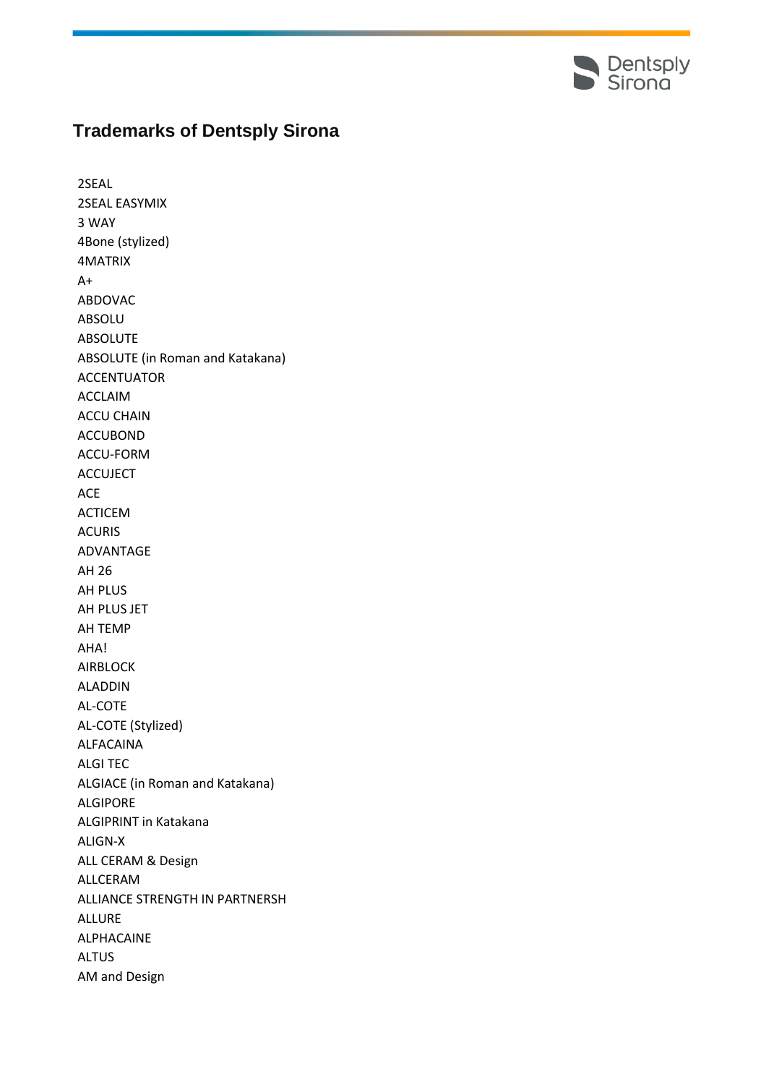

## **Trademarks of Dentsply Sirona**

2SEAL 2SEAL EASYMIX 3 WAY 4Bone (stylized) 4MATRIX  $A+$ ABDOVAC ABSOLU ABSOLUTE ABSOLUTE (in Roman and Katakana) ACCENTUATOR ACCLAIM ACCU CHAIN ACCUBOND ACCU-FORM ACCUJECT ACE ACTICEM ACURIS ADVANTAGE AH 26 AH PLUS AH PLUS JET AH TEMP AHA! AIRBLOCK ALADDIN AL-COTE AL-COTE (Stylized) ALFACAINA ALGI TEC ALGIACE (in Roman and Katakana) ALGIPORE ALGIPRINT in Katakana ALIGN-X ALL CERAM & Design ALLCERAM ALLIANCE STRENGTH IN PARTNERSH ALLURE ALPHACAINE ALTUS AM and Design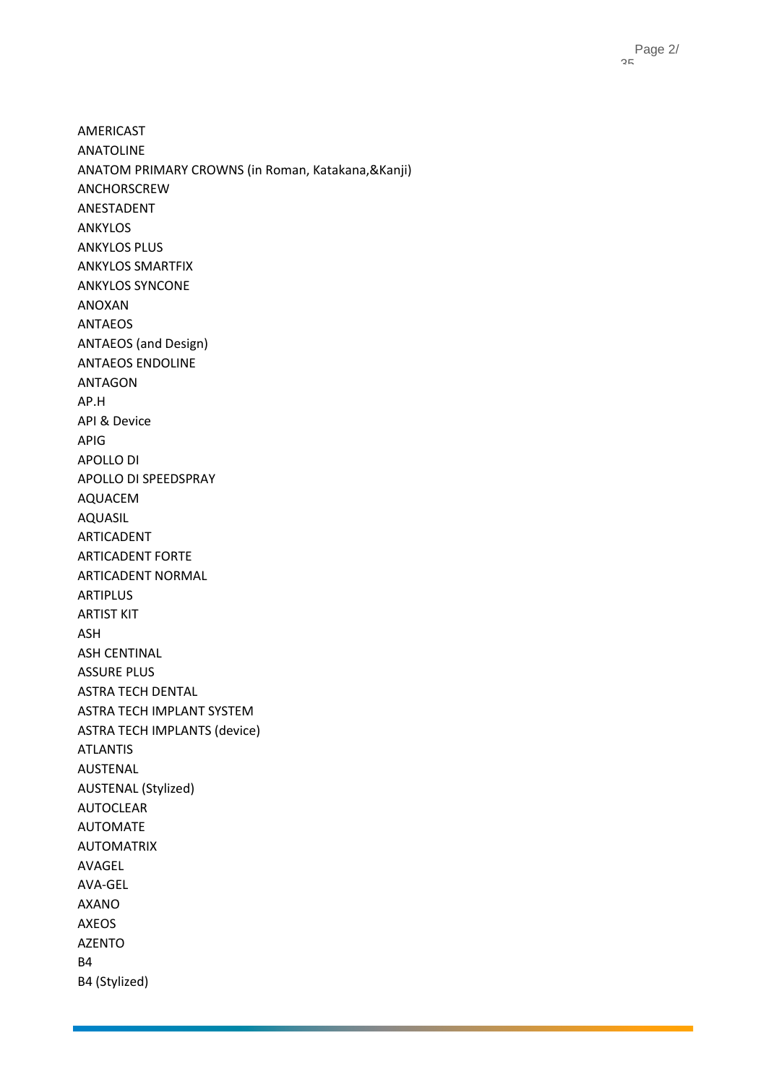AMERICAST ANATOLINE ANATOM PRIMARY CROWNS (in Roman, Katakana,&Kanji) ANCHORSCREW ANESTADENT ANKYLOS ANKYLOS PLUS ANKYLOS SMARTFIX ANKYLOS SYNCONE ANOXAN ANTAEOS ANTAEOS (and Design) ANTAEOS ENDOLINE ANTAGON AP.H API & Device APIG APOLLO DI APOLLO DI SPEEDSPRAY AQUACEM AQUASIL ARTICADENT ARTICADENT FORTE ARTICADENT NORMAL ARTIPLUS ARTIST KIT ASH ASH CENTINAL ASSURE PLUS ASTRA TECH DENTAL ASTRA TECH IMPLANT SYSTEM ASTRA TECH IMPLANTS (device) ATLANTIS AUSTENAL AUSTENAL (Stylized) AUTOCLEAR AUTOMATE AUTOMATRIX AVAGEL AVA-GEL AXANO AXEOS AZENTO B4 B4 (Stylized)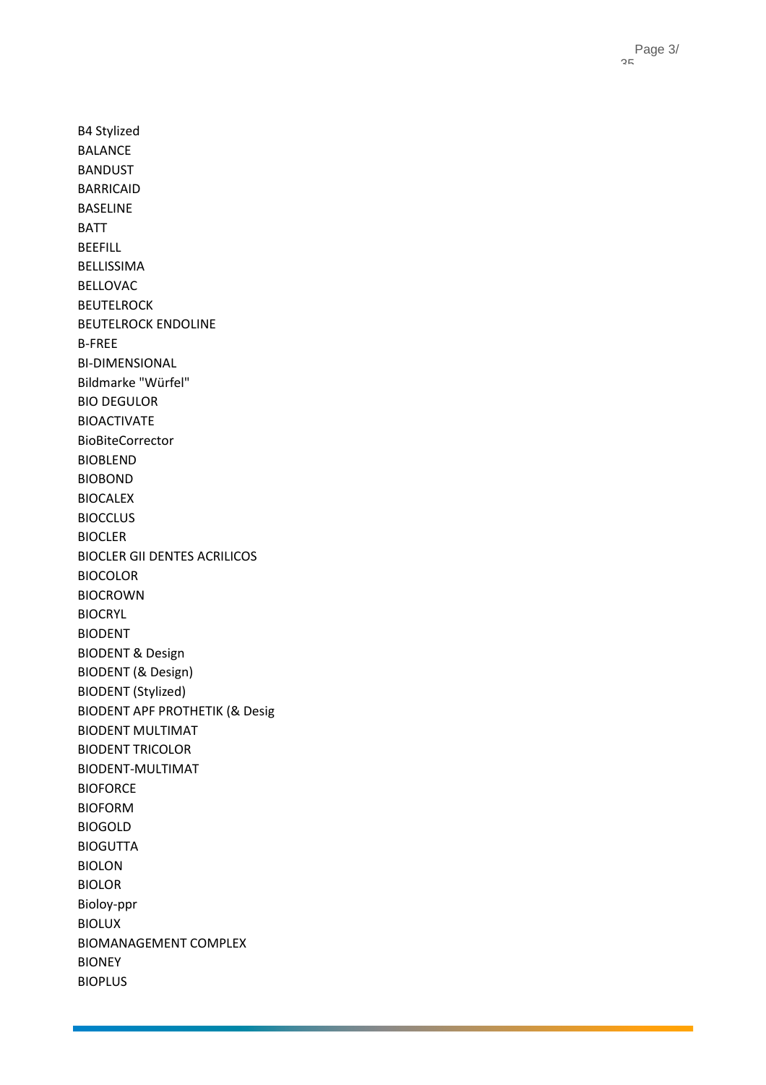B4 Stylized BALANCE BANDUST BARRICAID BASELINE BATT BEEFILL BELLISSIMA BELLOVAC BEUTELROCK BEUTELROCK ENDOLINE B-FREE BI -DIMENSIONAL Bildmarke "Würfel" BIO DEGULOR BIOACTIVATE BioBiteCorrector BIOBLEND BIOBOND BIOCALEX **BIOCCLUS** BIOCLER BIOCLER GII DENTES ACRILICOS BIOCOLOR BIOCROWN BIOCRYL BIODENT BIODENT & Design BIODENT (& Design) BIODENT (Stylized) BIODENT APF PROTHETIK (& Desig BIODENT MULTIMAT BIODENT TRICOLOR BIODENT -MULTIMAT **BIOFORCE** BIOFORM BIOGOLD BIOGUTTA BIOLON BIOLOR Bioloy -ppr BIOLUX BIOMANAGEMENT COMPLEX BIONEY

BIOPLUS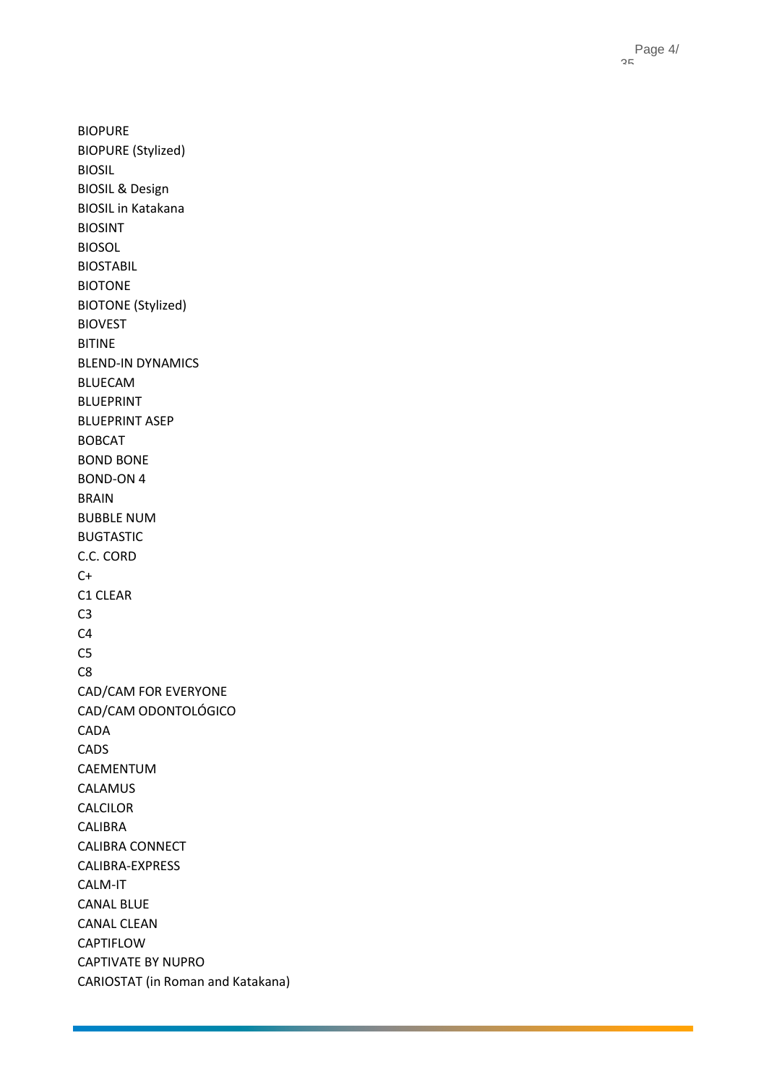Page 4 / 35

BIOPURE BIOPURE (Stylized) BIOSIL BIOSIL & Design BIOSIL in Katakana BIOSINT BIOSOL BIOSTABIL BIOTONE BIOTONE (Stylized) BIOVEST BITINE BLEND -IN DYNAMICS BLUECAM BLUEPRINT BLUEPRINT ASEP BOBCAT BOND BONE BOND -ON 4 BRAIN BUBBLE NUM BUGTASTIC C.C. CORD  $C+$ C1 CLEAR C3 C4 C5 C8 CAD/CAM FOR EVERYONE CAD/CAM ODONTOLÓGICO CADA CADS CAEMENTUM CALAMUS CALCILOR CALIBRA CALIBRA CONNECT CALIBRA -EXPRESS CALM -IT CANAL BLUE CANAL CLEAN **CAPTIFLOW** CAPTIVATE BY NUPRO CARIOSTAT (in Roman and Katakana)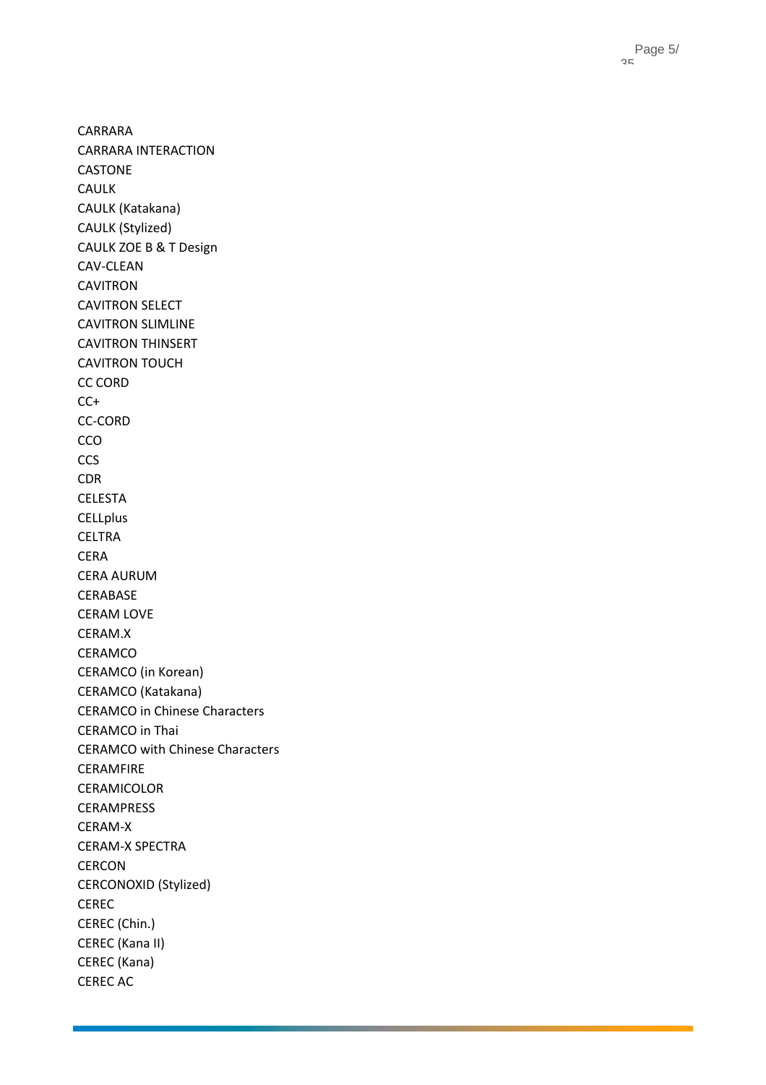Page 5 / 35

CARRARA CARRARA INTERACTION CASTONE CAULK CAULK (Katakana) CAULK (Stylized) CAULK ZOE B & T Design CAV -CLEAN CAVITRON CAVITRON SELECT CAVITRON SLIMLINE CAVITRON THINSERT CAVITRON TOUCH CC CORD  $CC+$ CC -CORD CCO **CCS** CDR CELESTA **CELLplus** CELTRA CERA CERA AURUM CERABASE CERAM LOVE CERAM.X CERAMCO CERAMCO (in Korean) CERAMCO (Katakana) CERAMCO in Chinese Characters CERAMCO in Thai CERAMCO with Chinese Characters CERAMFIRE CERAMICOLOR CERAMPRESS CERAM - X CERAM -X SPECTRA CERCON CERCONOXID (Stylized) CEREC CEREC (Chin.) CEREC (Kana II) CEREC (Kana) CEREC AC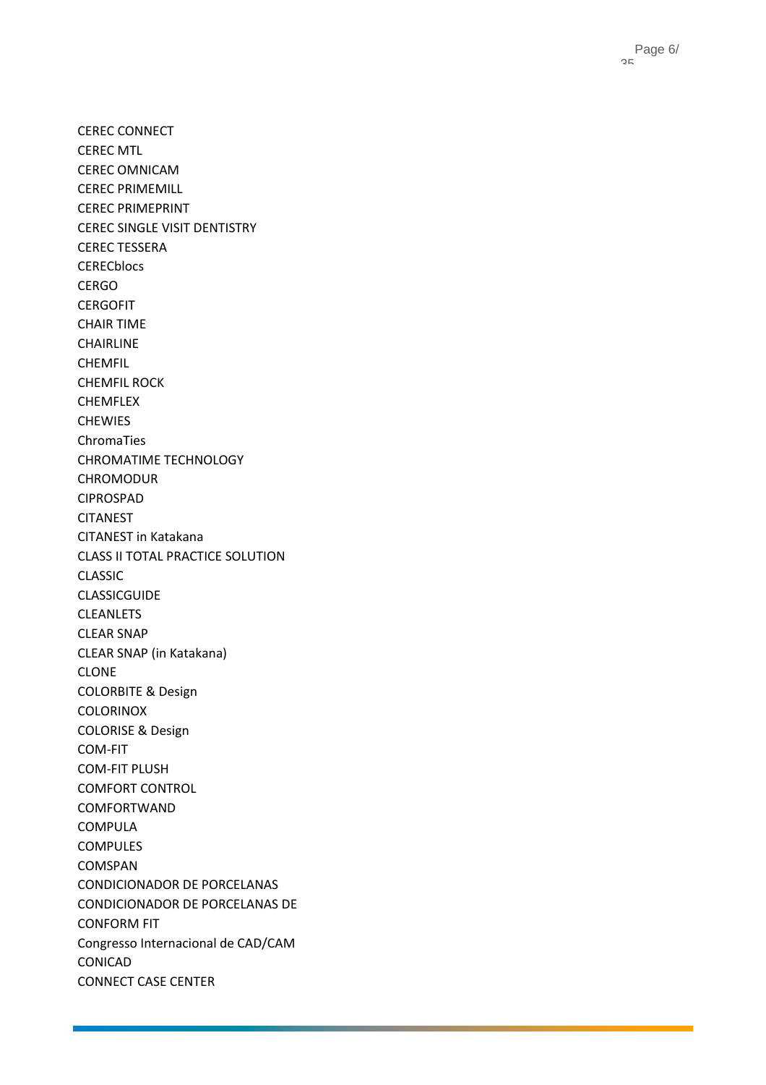CEREC CONNECT CEREC MTL CEREC OMNICAM CEREC PRIMEMILL CEREC PRIMEPRINT CEREC SINGLE VISIT DENTISTRY CEREC TESSERA **CERECblocs** CERGO **CERGOFIT** CHAIR TIME CHAIRLINE CHEMFIL CHEMFIL ROCK CHEMFLEX CHEWIES ChromaTies CHROMATIME TECHNOLOGY CHROMODUR CIPROSPAD CITANEST CITANEST in Katakana CLASS II TOTAL PRACTICE SOLUTION CLASSIC CLASSICGUIDE CLEANLETS CLEAR SNAP CLEAR SNAP (in Katakana) CLONE COLORBITE & Design COLORINOX COLORISE & Design COM -FIT COM -FIT PLUSH COMFORT CONTROL COMFORTWAND COMPULA COMPULES COMSPAN CONDICIONADOR DE PORCELANAS CONDICIONADOR DE PORCELANAS DE CONFORM FIT Congresso Internacional de CAD/CAM CONICAD CONNECT CASE CENTER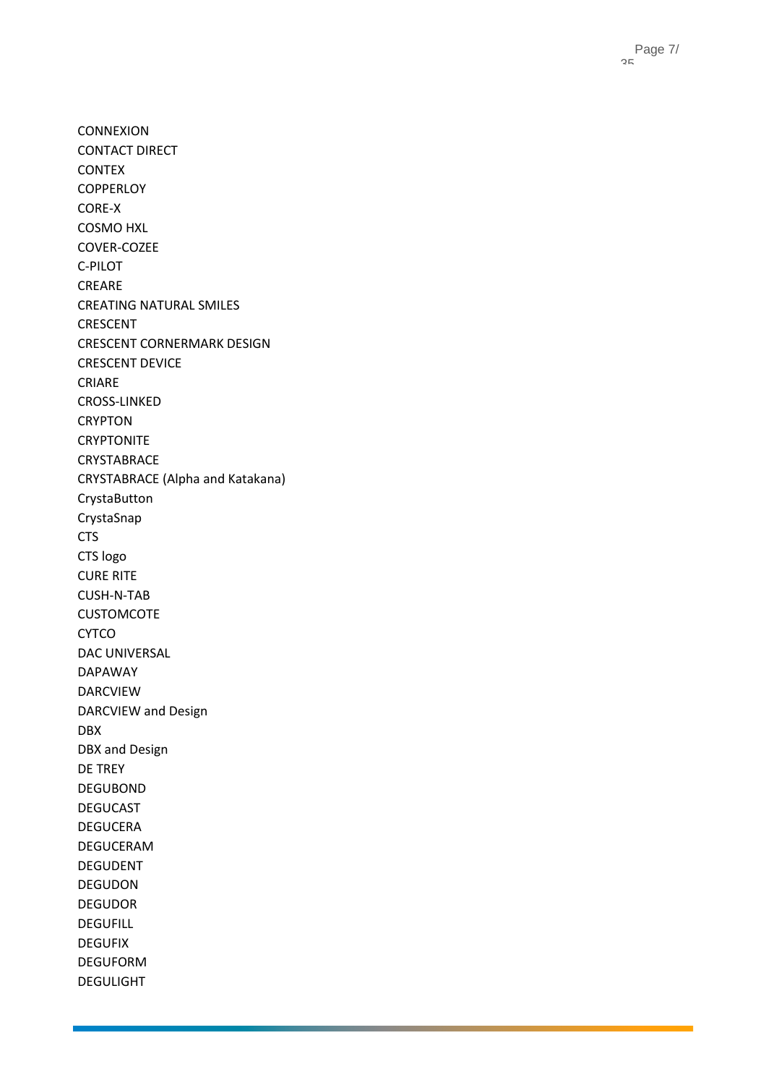CONNEXION CONTACT DIRECT CONTEX **COPPERLOY** CORE - X COSMO HXL COVER -COZEE C -PILOT CREARE CREATING NATURAL SMILES CRESCENT CRESCENT CORNERMARK DESIGN CRESCENT DEVICE CRIARE CROSS -LINKED CRYPTON **CRYPTONITE** CRYSTABRACE CRYSTABRACE (Alpha and Katakana) CrystaButton CrystaSnap CTS CTS logo CURE RITE CUSH - N -TAB CUSTOMCOTE CYTCO DAC UNIVERSAL DAPAWAY DARCVIEW DARCVIEW and Design DBX DBX and Design DE TREY DEGUBOND DEGUCAST DEGUCERA DEGUCERAM DEGUDENT DEGUDON DEGUDOR DEGUFILL DEGUFIX DEGUFORM DEGULIGHT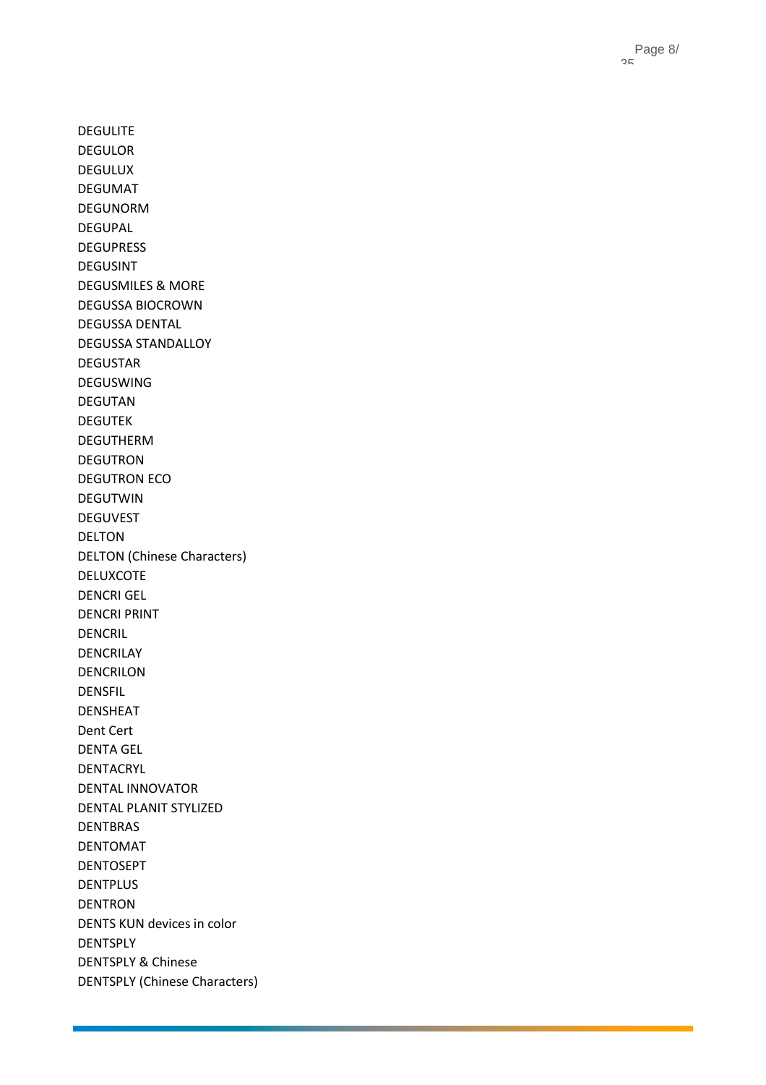Page 8 / 35

DEGULITE DEGULOR DEGULUX DEGUMAT DEGUNORM DEGUPAL DEGUPRESS DEGUSINT DEGUSMILES & MORE DEGUSSA BIOCROWN DEGUSSA DENTAL DEGUSSA STANDALLOY DEGUSTAR DEGUSWING DEGUTAN DEGUTEK DEGUTHERM DEGUTRON DEGUTRON ECO DEGUTWIN DEGUVEST DELTON DELTON (Chinese Characters) DELUXCOTE DENCRI GEL DENCRI PRINT DENCRIL DENCRILAY DENCRILON DENSFIL DENSHEAT Dent Cert DENTA GEL DENTACRYL DENTAL INNOVATOR DENTAL PLANIT STYLIZED DENTBRAS DENTOMAT DENTOSEPT DENTPLUS DENTRON DENTS KUN devices in color DENTSPLY DENTSPLY & Chinese DENTSPLY (Chinese Characters)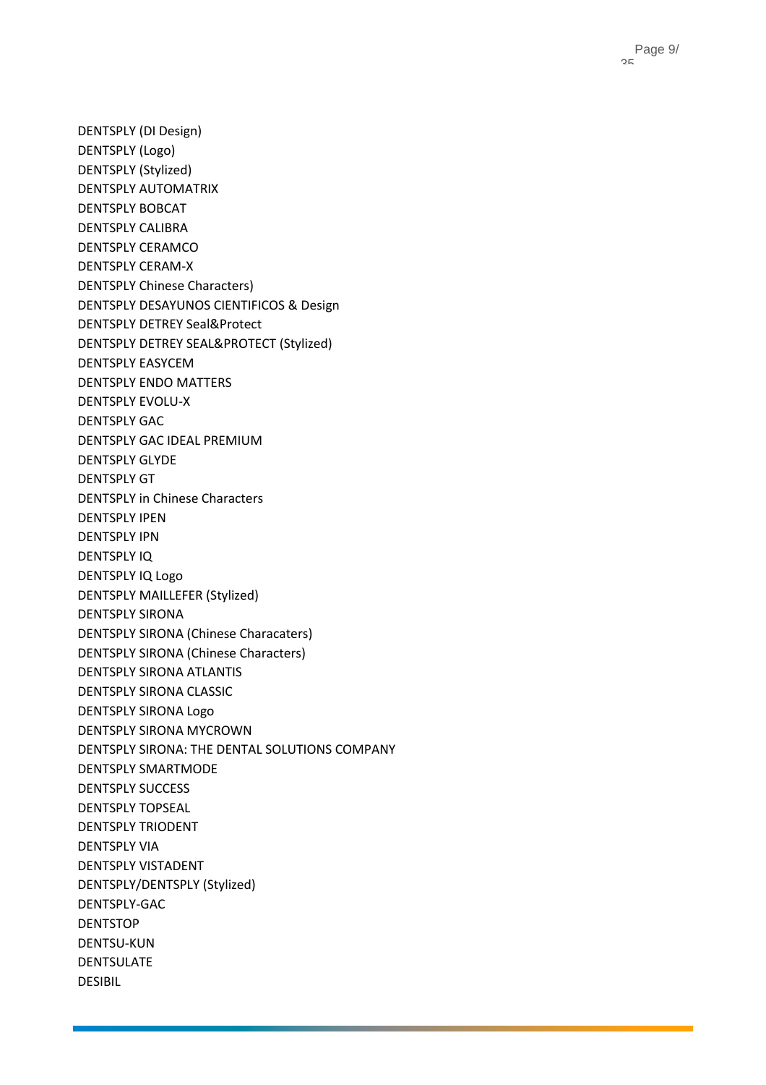DENTSPLY (DI Design) DENTSPLY (Logo) DENTSPLY (Stylized) DENTSPLY AUTOMATRIX DENTSPLY BOBCAT DENTSPLY CALIBRA DENTSPLY CERAMCO DENTSPLY CERAM-X DENTSPLY Chinese Characters) DENTSPLY DESAYUNOS CIENTIFICOS & Design DENTSPLY DETREY Seal&Protect DENTSPLY DETREY SEAL&PROTECT (Stylized) DENTSPLY EASYCEM DENTSPLY ENDO MATTERS DENTSPLY EVOLU-X DENTSPLY GAC DENTSPLY GAC IDEAL PREMIUM DENTSPLY GLYDE DENTSPLY GT DENTSPLY in Chinese Characters DENTSPLY IPEN DENTSPLY IPN DENTSPLY IQ DENTSPLY IQ Logo DENTSPLY MAILLEFER (Stylized) DENTSPLY SIRONA DENTSPLY SIRONA (Chinese Characaters) DENTSPLY SIRONA (Chinese Characters) DENTSPLY SIRONA ATLANTIS DENTSPLY SIRONA CLASSIC DENTSPLY SIRONA Logo DENTSPLY SIRONA MYCROWN DENTSPLY SIRONA: THE DENTAL SOLUTIONS COMPANY DENTSPLY SMARTMODE DENTSPLY SUCCESS DENTSPLY TOPSEAL DENTSPLY TRIODENT DENTSPLY VIA DENTSPLY VISTADENT DENTSPLY/DENTSPLY (Stylized) DENTSPLY-GAC DENTSTOP DENTSU-KUN DENTSULATE DESIBIL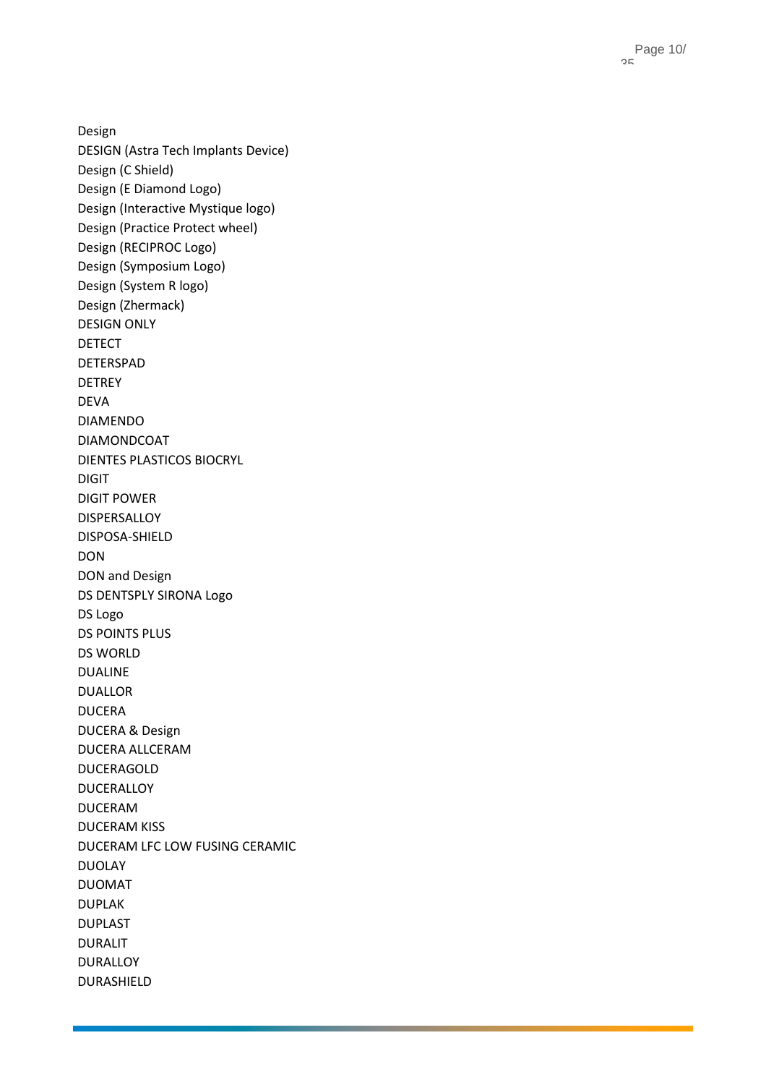Design DESIGN (Astra Tech Implants Device) Design (C Shield) Design (E Diamond Logo) Design (Interactive Mystique logo) Design (Practice Protect wheel) Design (RECIPROC Logo) Design (Symposium Logo) Design (System R logo) Design (Zhermack) DESIGN ONLY DETECT DETERSPAD DETREY DEVA DIAMENDO DIAMONDCOAT DIENTES PLASTICOS BIOCRYL DIGIT DIGIT POWER DISPERSALLOY DISPOSA -SHIELD DON DON and Design DS DENTSPLY SIRONA Logo DS Logo DS POINTS PLUS DS WORLD DUALINE DUALLOR DUCERA DUCERA & Design DUCERA ALLCERAM DUCERAGOLD DUCERALLOY DUCERAM DUCERAM KISS DUCERAM LFC LOW FUSING CERAMIC DUOLAY DUOMAT DUPLAK DUPLAST DURALIT DURALLOY DURASHIELD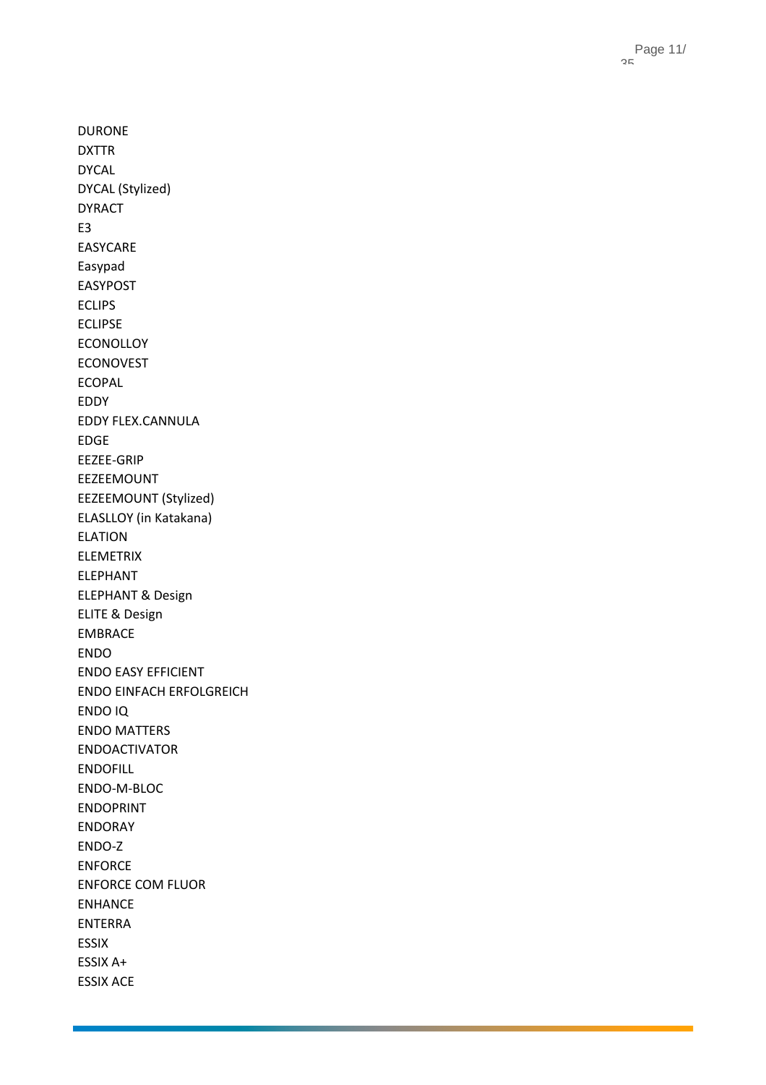DURONE DXTTR DYCAL DYCAL (Stylized) DYRACT E3 EASYCARE Easypad EASYPOST ECLIPS ECLIPSE ECONOLLOY ECONOVEST ECOPAL EDDY EDDY FLEX.CANNULA EDGE EEZEE -GRIP EEZEEMOUNT EEZEEMOUNT (Stylized) ELASLLOY (in Katakana) ELATION ELEMETRIX ELEPHANT ELEPHANT & Design ELITE & Design EMBRACE ENDO ENDO EASY EFFICIENT ENDO EINFACH ERFOLGREICH ENDO IQ ENDO MATTERS ENDOACTIVATOR ENDOFILL ENDO - M -BLOC ENDOPRINT ENDORAY ENDO - Z ENFORCE ENFORCE COM FLUOR ENHANCE ENTERRA ESSIX ESSIX A+ ESSIX ACE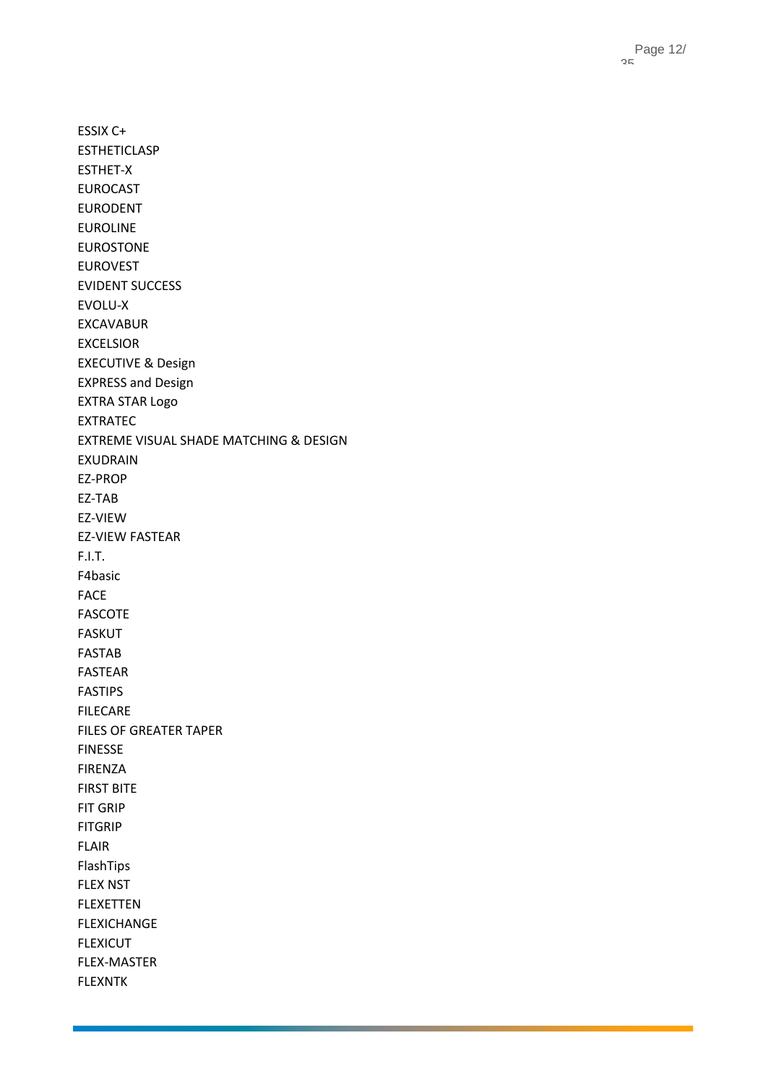ESSIX C+ ESTHETICLASP ESTHET-X EUROCAST EURODENT EUROLINE EUROSTONE EUROVEST EVIDENT SUCCESS EVOLU-X EXCAVABUR EXCELSIOR EXECUTIVE & Design EXPRESS and Design EXTRA STAR Logo EXTRATEC EXTREME VISUAL SHADE MATCHING & DESIGN EXUDRAIN EZ-PROP EZ-TAB EZ-VIEW EZ-VIEW FASTEAR F.I.T. F4basic FACE FASCOTE FASKUT FASTAB FASTEAR FASTIPS FILECARE FILES OF GREATER TAPER FINESSE FIRENZA FIRST BITE FIT GRIP FITGRIP FLAIR FlashTips FLEX NST FLEXETTEN FLEXICHANGE FLEXICUT FLEX-MASTER FLEXNTK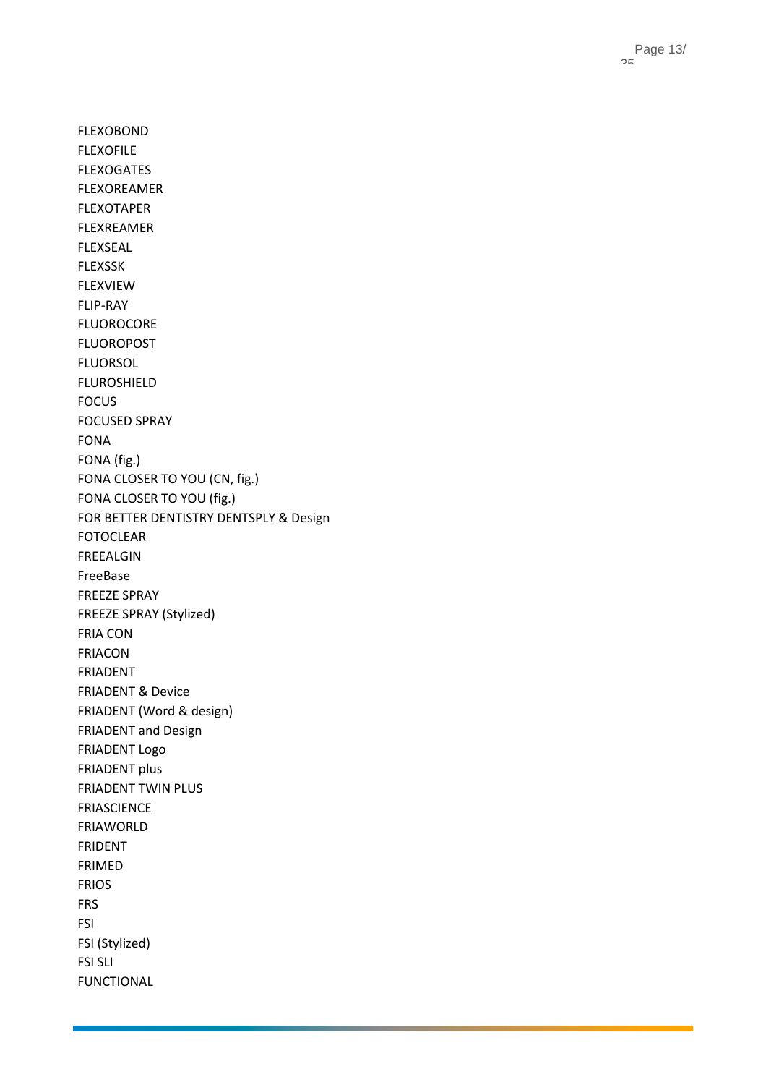FLEXOBOND FLEXOFILE FLEXOGATES FLEXOREAMER FLEXOTAPER FLEXREAMER FLEXSEAL FLEXSSK FLEXVIEW FLIP-RAY FLUOROCORE FLUOROPOST FLUORSOL FLUROSHIELD FOCUS FOCUSED SPRAY FONA FONA (fig.) FONA CLOSER TO YOU (CN, fig.) FONA CLOSER TO YOU (fig.) FOR BETTER DENTISTRY DENTSPLY & Design FOTOCLEAR FREEALGIN FreeBase FREEZE SPRAY FREEZE SPRAY (Stylized) FRIA CON FRIACON FRIADENT FRIADENT & Device FRIADENT (Word & design) FRIADENT and Design FRIADENT Logo FRIADENT plus FRIADENT TWIN PLUS FRIASCIENCE FRIAWORLD FRIDENT FRIMED FRIOS FRS FSI FSI (Stylized) FSI SLI FUNCTIONAL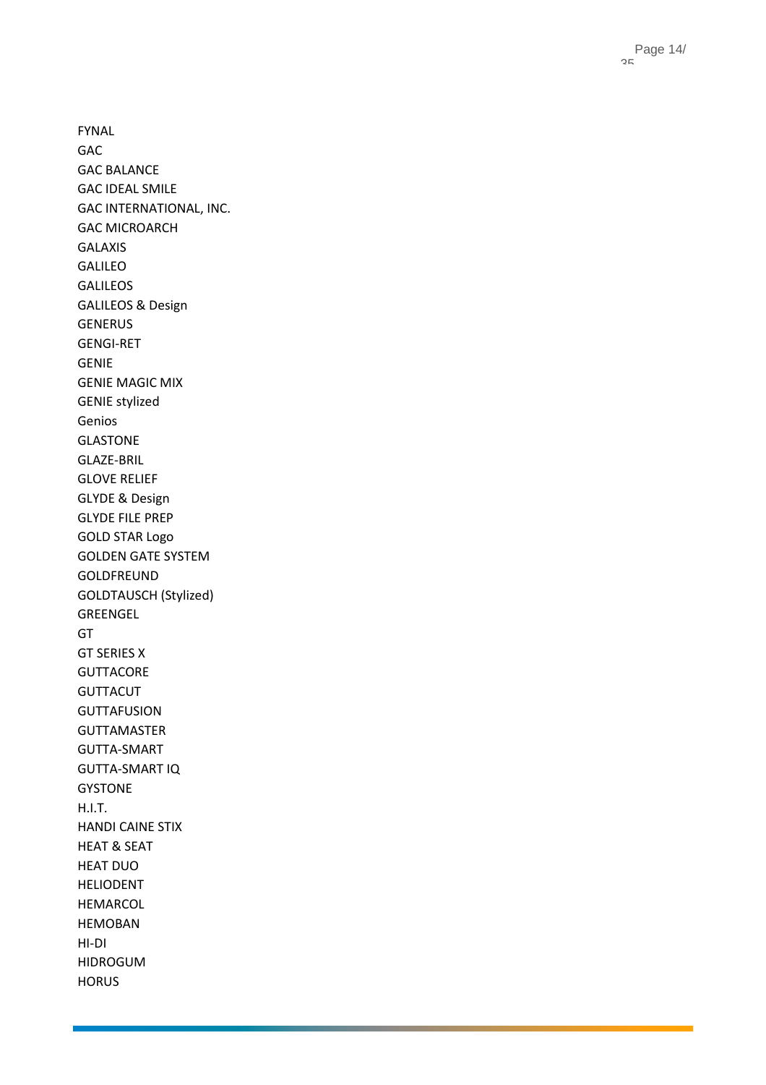Page 14 / 35

FYNAL GAC GAC BALANCE GAC IDEAL SMILE GAC INTERNATIONAL, INC. GAC MICROARCH GALAXIS GALILEO GALILEOS GALILEOS & Design GENERUS GENGI -RET GENIE GENIE MAGIC MIX GENIE stylized Genios GLASTONE GLAZE -BRIL GLOVE RELIEF GLYDE & Design GLYDE FILE PREP GOLD STAR Logo GOLDEN GATE SYSTEM GOLDFREUND GOLDTAUSCH (Stylized) GREENGEL GT GT SERIES X **GUTTACORE** GUTTACUT GUTTAFUSION GUTTAMASTER GUTTA -SMART GUTTA -SMART IQ GYSTONE H.I.T. HANDI CAINE STIX HEAT & SEAT HEAT DUO HELIODENT HEMARCOL HEMOBAN HI -DI HIDROGUM HORUS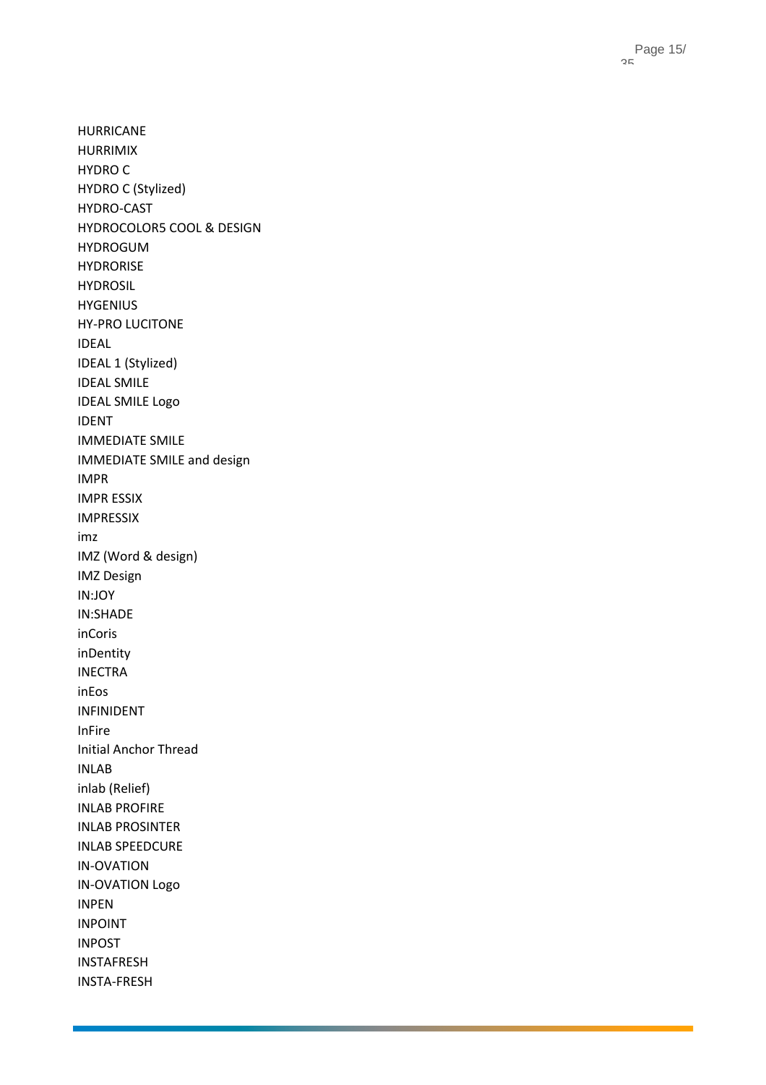HURRICANE HURRIMIX HYDRO C HYDRO C (Stylized) HYDRO -CAST HYDROCOLOR5 COOL & DESIGN HYDROGUM HYDRORISE HYDROSIL **HYGENIUS** HY -PRO LUCITONE IDEAL IDEAL 1 (Stylized) IDEAL SMILE IDEAL SMILE Logo IDENT IMMEDIATE SMILE IMMEDIATE SMILE and design IMPR IMPR ESSIX IMPRESSIX imz IMZ (Word & design) IMZ Design IN:JOY IN:SHADE inCoris inDentity INECTRA inEos INFINIDENT InFire Initial Anchor Thread INLAB inlab (Relief) INLAB PROFIRE INLAB PROSINTER INLAB SPEEDCURE IN -OVATION IN -OVATION Logo INPEN INPOINT INPOST INSTAFRESH INSTA -FRESH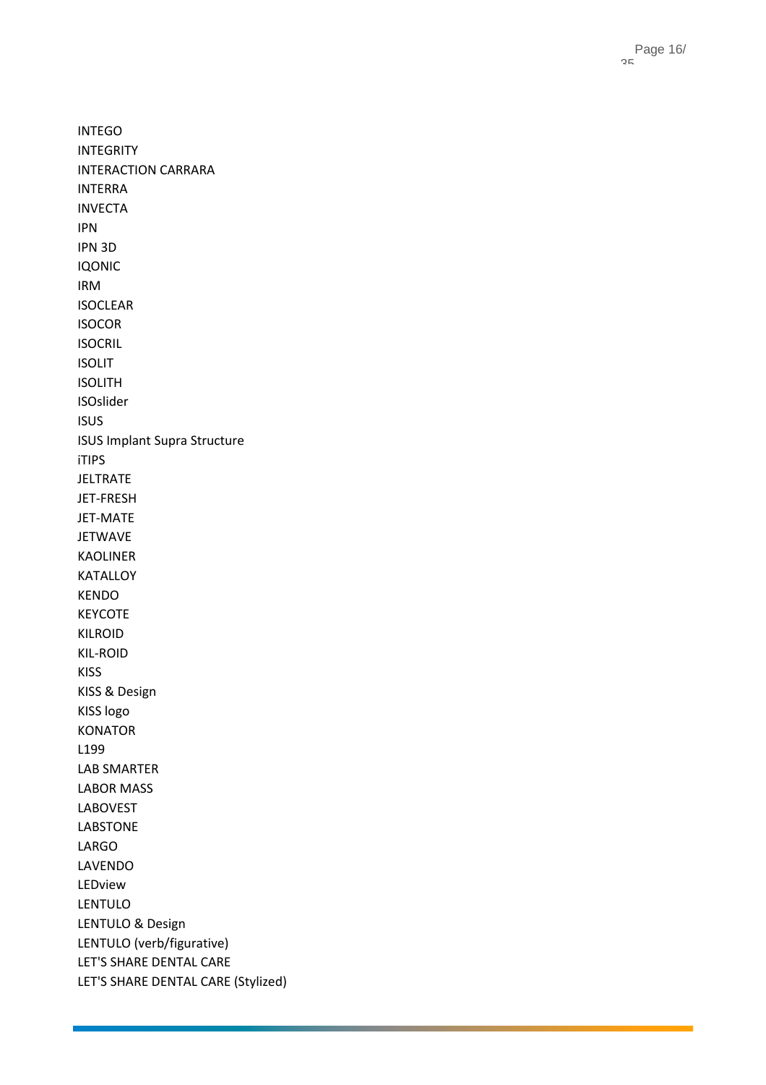Page 16 / 35

INTEGO INTEGRITY INTERACTION CARRARA INTERRA INVECTA IPN IPN 3D IQONIC IRM ISOCLEAR ISOCOR ISOCRIL ISOLIT ISOLITH ISOslider ISUS ISUS Implant Supra Structure iTIPS JELTRATE JET -FRESH JET -MATE JETWAVE KAOLINER KATALLOY KENDO KEYCOTE KILROID KIL -ROID KISS KISS & Design KISS logo KONATOR L199 LAB SMARTER LABOR MASS LABOVEST LABSTONE LARGO LAVENDO LEDview LENTULO LENTULO & Design LENTULO (verb/figurative) LET'S SHARE DENTAL CARE LET'S SHARE DENTAL CARE (Stylized)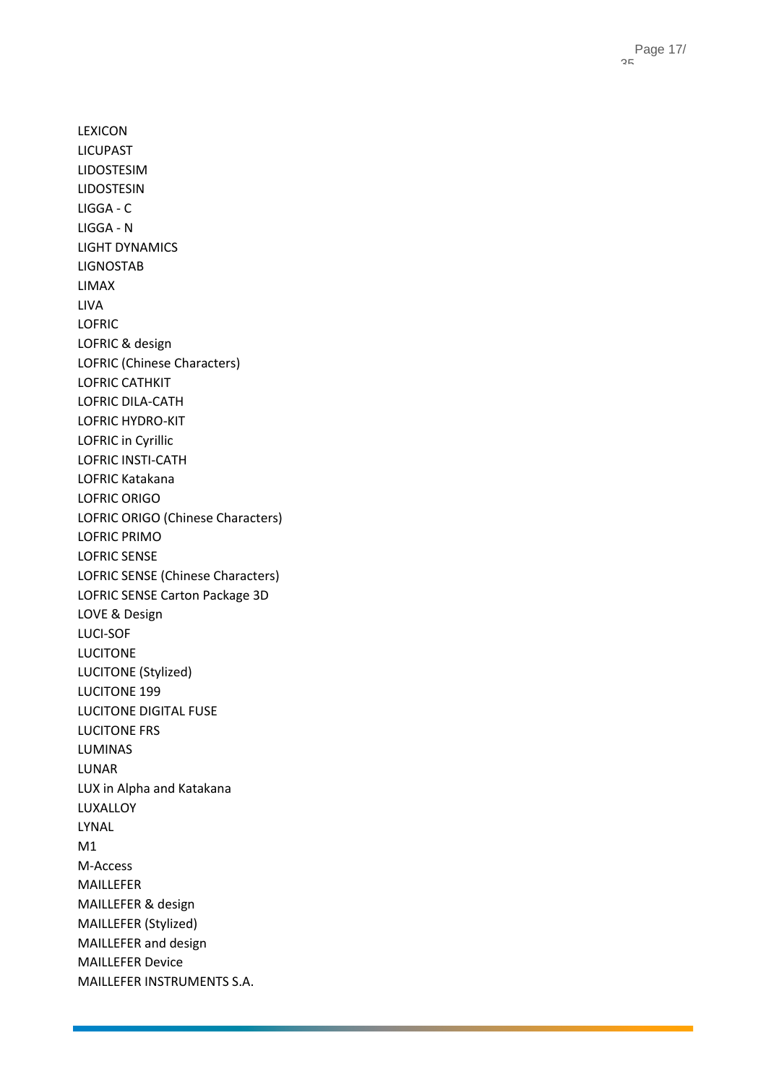LEXICON LICUPAST LIDOSTESIM LIDOSTESIN LIGGA - C LIGGA - N LIGHT DYNAMICS LIGNOSTAB LIMAX LIVA LOFRIC LOFRIC & design LOFRIC (Chinese Characters) LOFRIC CATHKIT LOFRIC DILA -CATH LOFRIC HYDRO -KIT LOFRIC in Cyrillic LOFRIC INSTI -CATH LOFRIC Katakana LOFRIC ORIGO LOFRIC ORIGO (Chinese Characters) LOFRIC PRIMO LOFRIC SENSE LOFRIC SENSE (Chinese Characters) LOFRIC SENSE Carton Package 3D LOVE & Design LUCI -SOF LUCITONE LUCITONE (Stylized) LUCITONE 199 LUCITONE DIGITAL FUSE LUCITONE FRS LUMINAS LUNAR LUX in Alpha and Katakana LUXALLOY LYNAL M1 M-Access MAILLEFER MAILLEFER & design MAILLEFER (Stylized) MAILLEFER and design MAILLEFER Device MAILLEFER INSTRUMENTS S.A.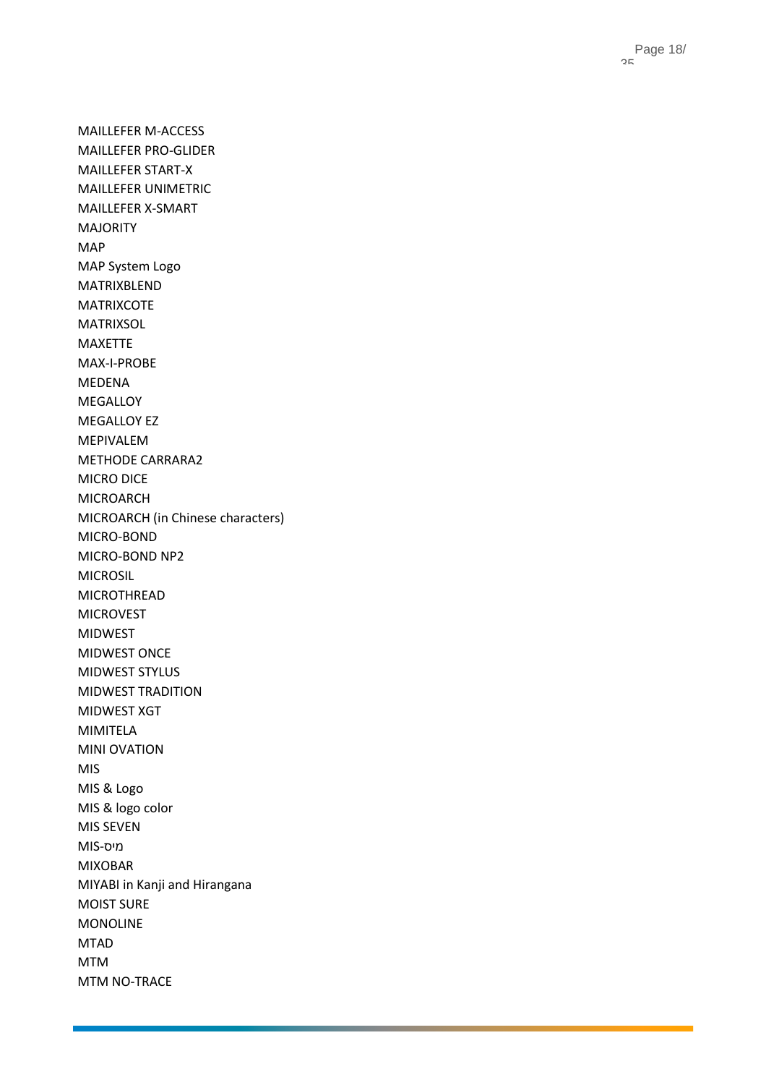MAILLEFER M -ACCESS MAILLEFER PRO -GLIDER MAILLEFER START - X MAILLEFER UNIMETRIC MAILLEFER X -SMART MAJORITY MAP MAP System Logo MATRIXBLEND MATRIXCOTE MATRIXSOL MAXETTE MAX -I-PROBE MEDENA MEGALLOY MEGALLOY EZ MEPIVALEM METHODE CARRARA2 MICRO DICE MICROARCH MICROARCH (in Chinese characters) MICRO -BOND MICRO -BOND NP2 MICROSIL MICROTHREAD MICROVEST MIDWEST MIDWEST ONCE MIDWEST STYLUS MIDWEST TRADITION MIDWEST XGT MIMITELA MINI OVATION MIS MIS & Logo MIS & logo color MIS SEVEN MIS מיס- MIXOBAR MIYABI in Kanji and Hirangana MOIST SURE MONOLINE MTAD MTM MTM NO -TRACE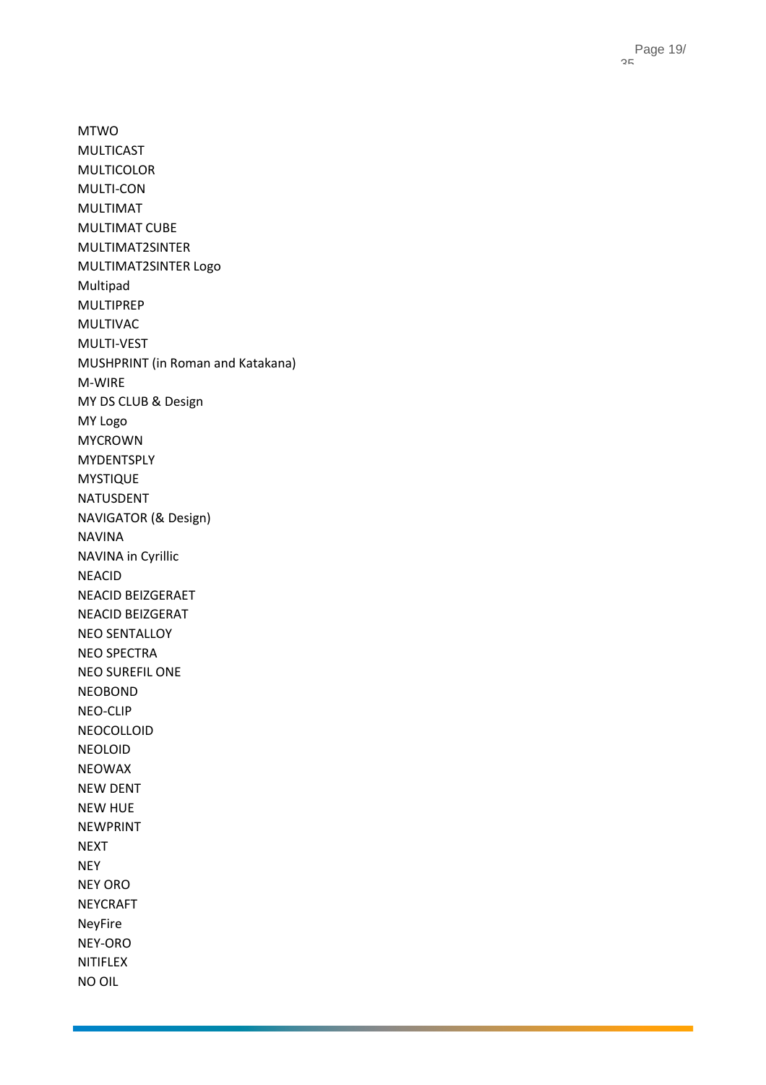MTWO MULTICAST MULTICOLOR MULTI -CON MULTIMAT MULTIMAT CUBE MULTIMAT2SINTER MULTIMAT2SINTER Logo Multipad MULTIPREP MULTIVAC MULTI -VEST MUSHPRINT (in Roman and Katakana) M-WIRE MY DS CLUB & Design MY Logo MYCROWN **MYDENTSPLY** MYSTIQUE NATUSDENT NAVIGATOR (& Design) NAVINA NAVINA in Cyrillic NEACID NEACID BEIZGERAET NEACID BEIZGERAT NEO SENTALLOY NEO SPECTRA NEO SUREFIL ONE NEOBOND NEO -CLIP NEOCOLLOID NEOLOID NEOWAX NEW DENT NEW HUE NEWPRINT NEXT NEY NEY ORO NEYCRAFT NeyFire NEY -ORO NITIFLEX NO OIL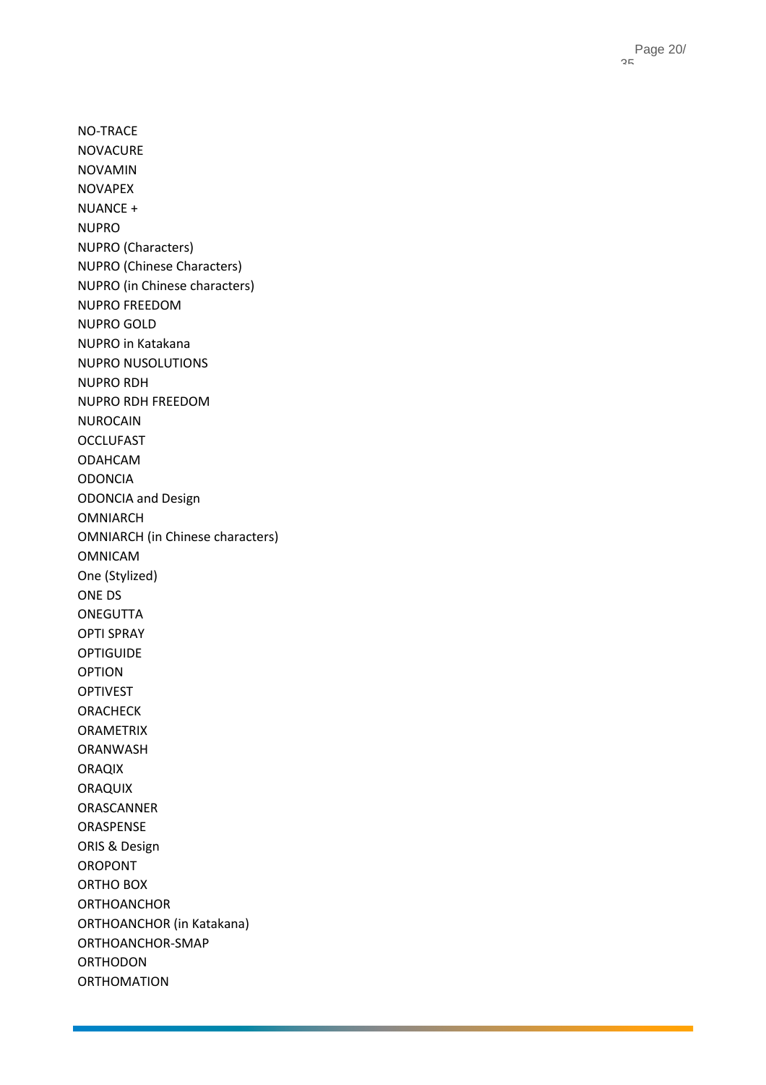NO -TRACE NOVACURE NOVAMIN NOVAPEX NUANCE + NUPRO NUPRO (Characters) NUPRO (Chinese Characters) NUPRO (in Chinese characters) NUPRO FREEDOM NUPRO GOLD NUPRO in Katakana NUPRO NUSOLUTIONS NUPRO RDH NUPRO RDH FREEDOM NUROCAIN **OCCLUFAST** ODAHCAM ODONCIA ODONCIA and Design OMNIARCH OMNIARCH (in Chinese characters) OMNICAM One (Stylized) ONE DS **ONEGUTTA** OPTI SPRAY OPTIGUIDE OPTION OPTIVEST ORACHECK ORAMETRIX ORANWASH ORAQIX ORAQUIX ORASCANNER ORASPENSE ORIS & Design OROPONT ORTHO BOX ORTHOANCHOR ORTHOANCHOR (in Katakana) ORTHOANCHOR -SMAP ORTHODON **ORTHOMATION**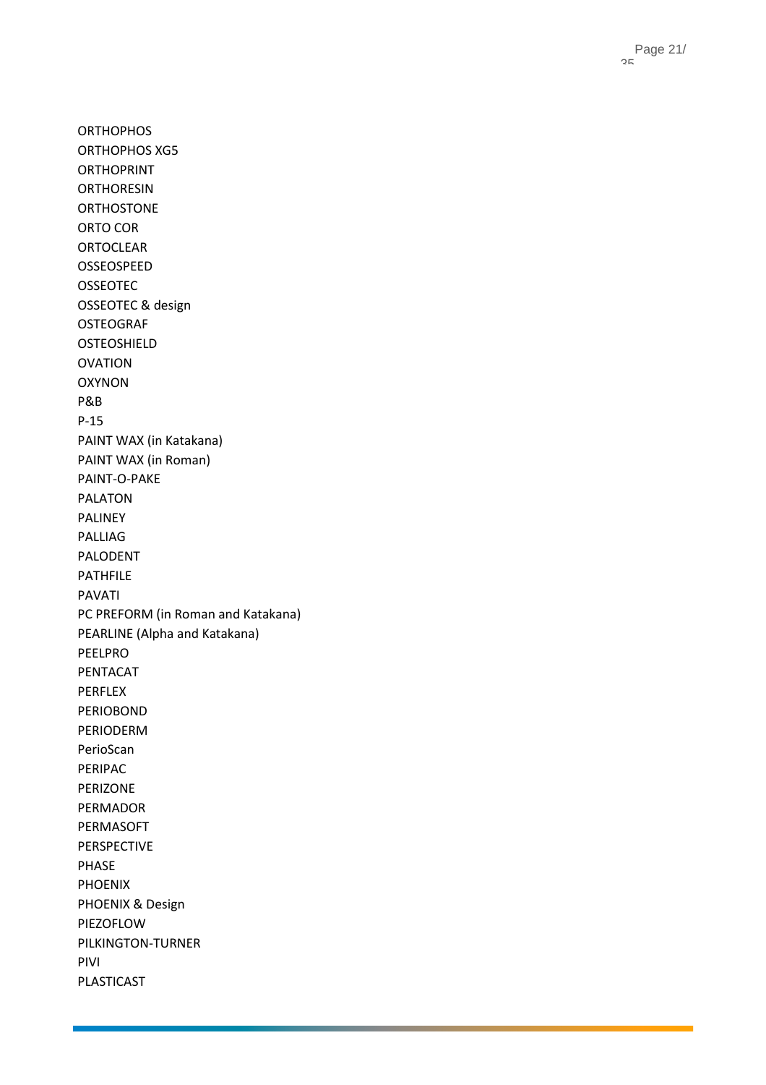**ORTHOPHOS** ORTHOPHOS XG5 ORTHOPRINT **ORTHORESIN** ORTHOSTONE ORTO COR ORTOCLEAR OSSEOSPEED OSSEOTEC OSSEOTEC & design OSTEOGRAF OSTEOSHIELD OVATION OXYNON P&B P-15 PAINT WAX (in Katakana) PAINT WAX (in Roman) PAINT - O -PAKE PALATON PALINEY PALLIAG PALODENT PATHFILE PAVATI PC PREFORM (in Roman and Katakana) PEARLINE (Alpha and Katakana) PEELPRO PENTACAT PERFLEX PERIOBOND PERIODERM PerioScan PERIPAC PERIZONE PERMADOR PERMASOFT PERSPECTIVE PHASE PHOENIX PHOENIX & Design PIEZOFLOW PILKINGTON -TURNER PIVI PLASTICAST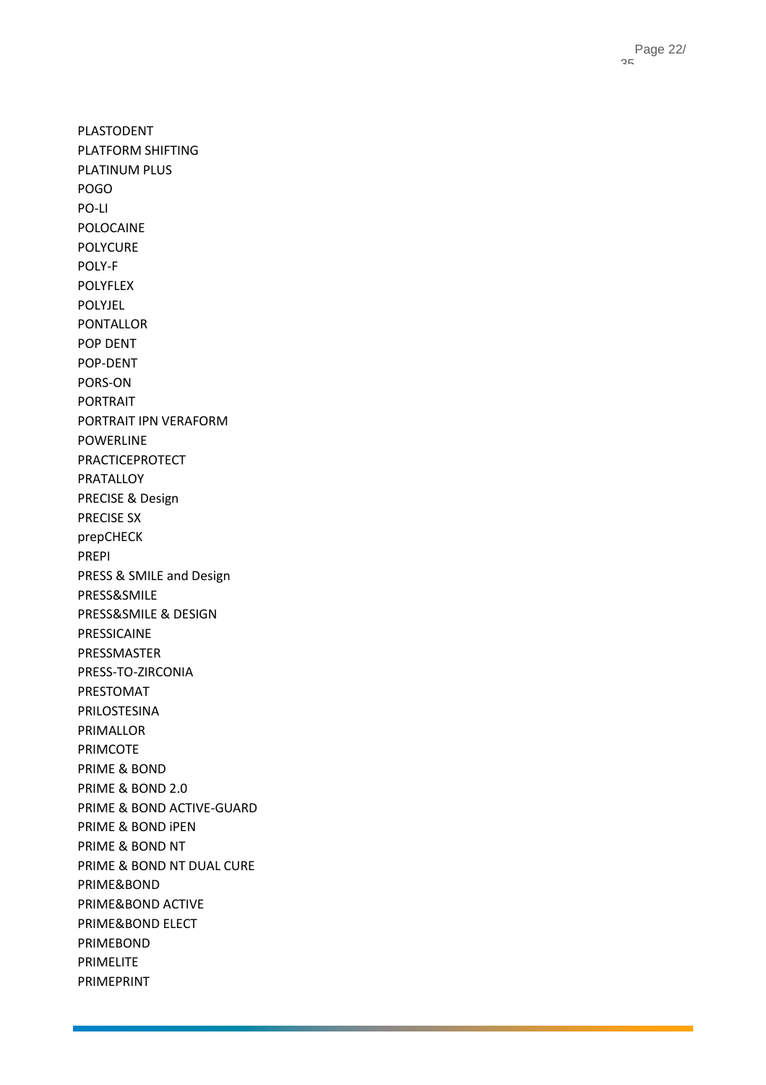PLASTODENT PLATFORM SHIFTING PLATINUM PLUS POGO PO -LI POLOCAINE POLYCURE POLY - F POLYFLEX POLYJEL PONTALLOR POP DENT POP -DENT PORS -ON PORTRAIT PORTRAIT IPN VERAFORM POWERLINE PRACTICEPROTECT PRATALLOY PRECISE & Design PRECISE SX prepCHECK PREPI PRESS & SMILE and Design PRESS&SMILE PRESS&SMILE & DESIGN PRESSICAINE PRESSMASTER PRESS -TO -ZIRCONIA PRESTOMAT PRILOSTESINA PRIMALLOR PRIMCOTE PRIME & BOND PRIME & BOND 2.0 PRIME & BOND ACTIVE -GUARD PRIME & BOND iPEN PRIME & BOND NT PRIME & BOND NT DUAL CURE PRIME&BOND PRIME&BOND ACTIVE PRIME&BOND ELECT PRIMEBOND PRIMELITE PRIMEPRINT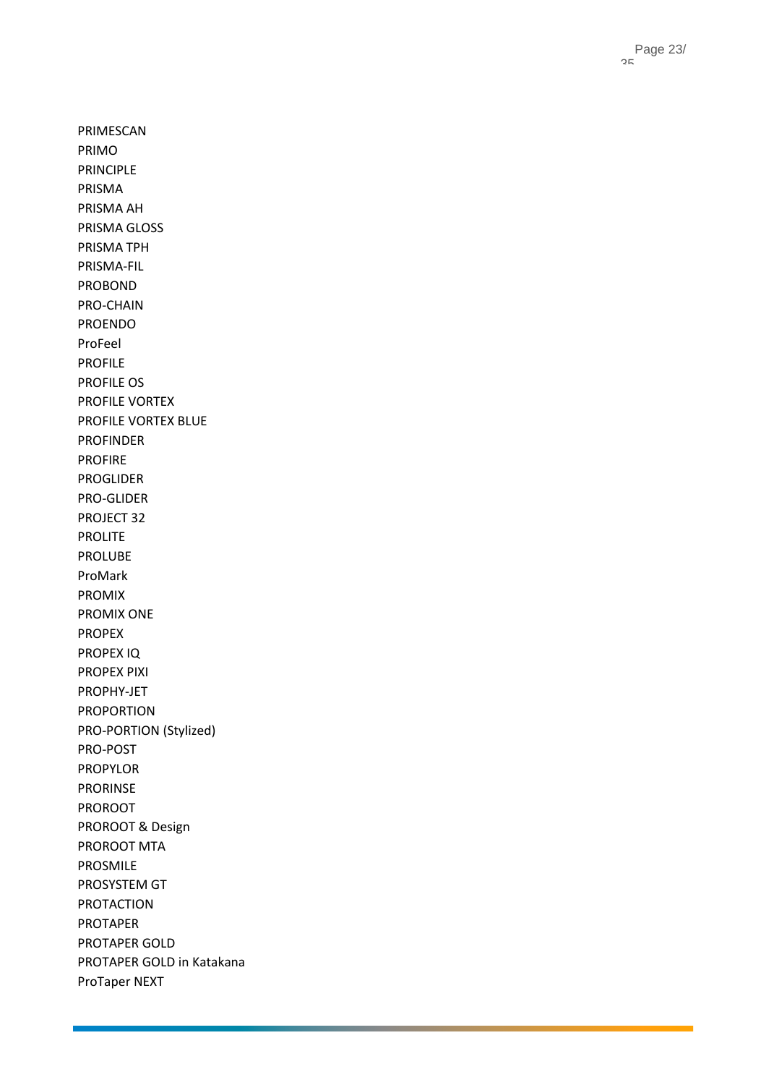Page 23 / 35

PRIMESCAN PRIMO PRINCIPLE PRISMA PRISMA AH PRISMA GLOSS PRISMA TPH PRISMA -FIL PROBOND PRO -CHAIN PROENDO ProFeel PROFILE PROFILE OS PROFILE VORTEX PROFILE VORTEX BLUE PROFINDER PROFIRE PROGLIDER PRO -GLIDER PROJECT 32 PROLITE PROLUBE ProMark PROMIX PROMIX ONE PROPEX PROPEX IQ PROPEX PIXI PROPHY -JET PROPORTION PRO -PORTION (Stylized) PRO -POST PROPYLOR PRORINSE PROROOT PROROOT & Design PROROOT MTA PROSMILE PROSYSTEM GT PROTACTION PROTAPER PROTAPER GOLD PROTAPER GOLD in Katakana ProTaper NEXT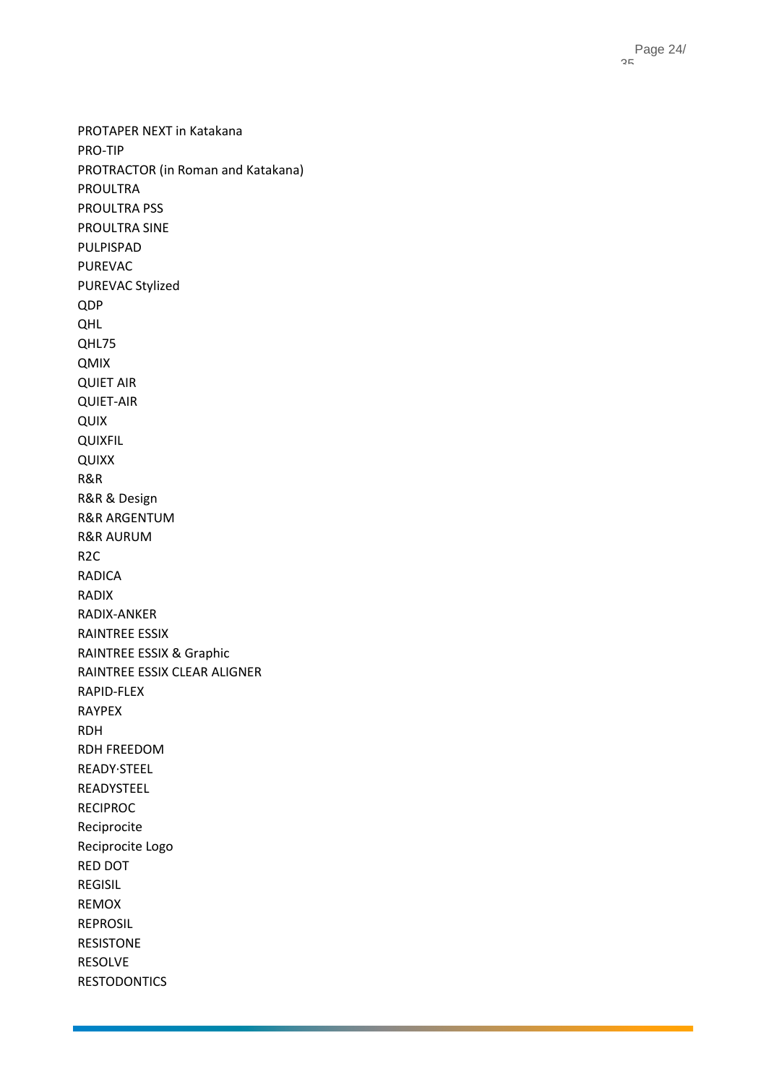PROTAPER NEXT in Katakana PRO -TIP PROTRACTOR (in Roman and Katakana) PROULTRA PROULTRA PSS PROULTRA SINE PULPISPAD PUREVAC PUREVAC Stylized QDP QHL QHL75 QMIX QUIET AIR QUIET -AIR QUIX QUIXFIL QUIXX R&R R&R & Design R&R ARGENTUM R&R AURUM R2C RADICA RADIX RADIX -ANKER RAINTREE ESSIX RAINTREE ESSIX & Graphic RAINTREE ESSIX CLEAR ALIGNER RAPID -FLEX RAYPEX RDH RDH FREEDOM READY·STEEL READYSTEEL RECIPROC Reciprocite Reciprocite Logo RED DOT REGISIL REMOX REPROSIL RESISTONE RESOLVE RESTODONTICS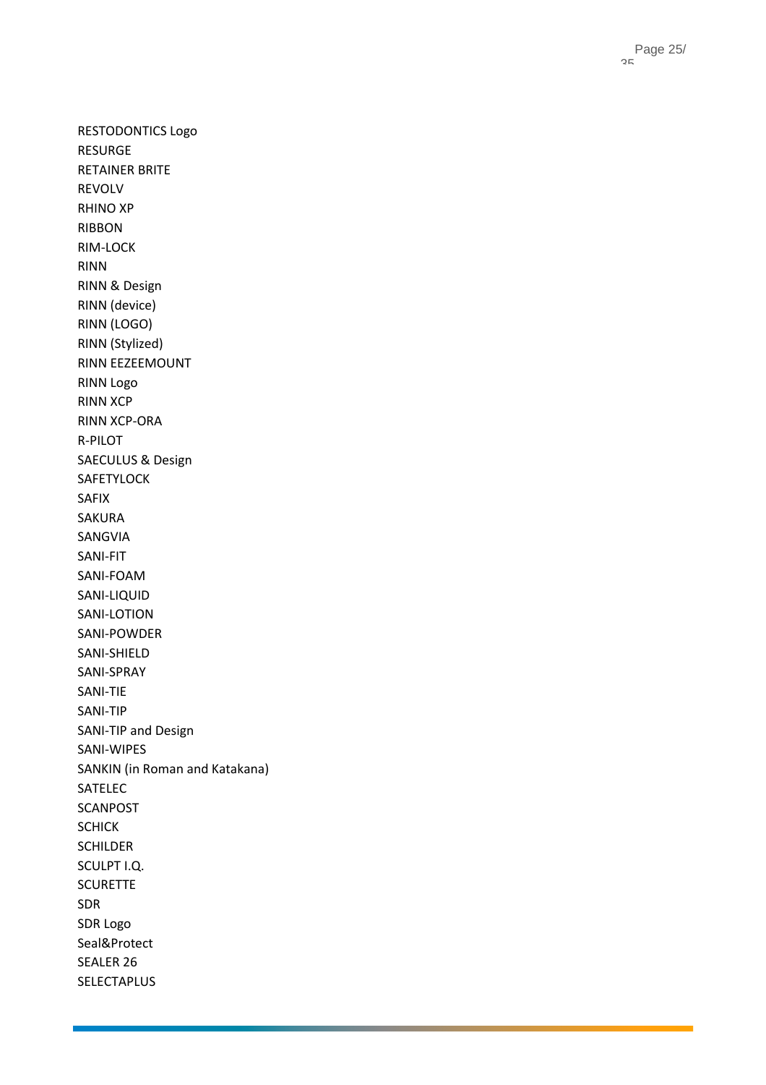RESTODONTICS Logo RESURGE RETAINER BRITE REVOLV RHINO XP RIBBON RIM -LOCK RINN RINN & Design RINN (device) RINN (LOGO) RINN (Stylized) RINN EEZEEMOUNT RINN Logo RINN XCP RINN XCP -ORA R -PILOT SAECULUS & Design SAFETYLOCK SAFIX SAKURA SANGVIA SANI -FIT SANI -FOAM SANI -LIQUID SANI -LOTION SANI -POWDER SANI -SHIELD SANI -SPRAY SANI -TIE SANI -TIP SANI -TIP and Design SANI -WIPES SANKIN (in Roman and Katakana) SATELEC **SCANPOST SCHICK** SCHILDER SCULPT I.Q. **SCURETTE** SDR SDR Logo Seal&Protect SEALER 26 SELECTAPLUS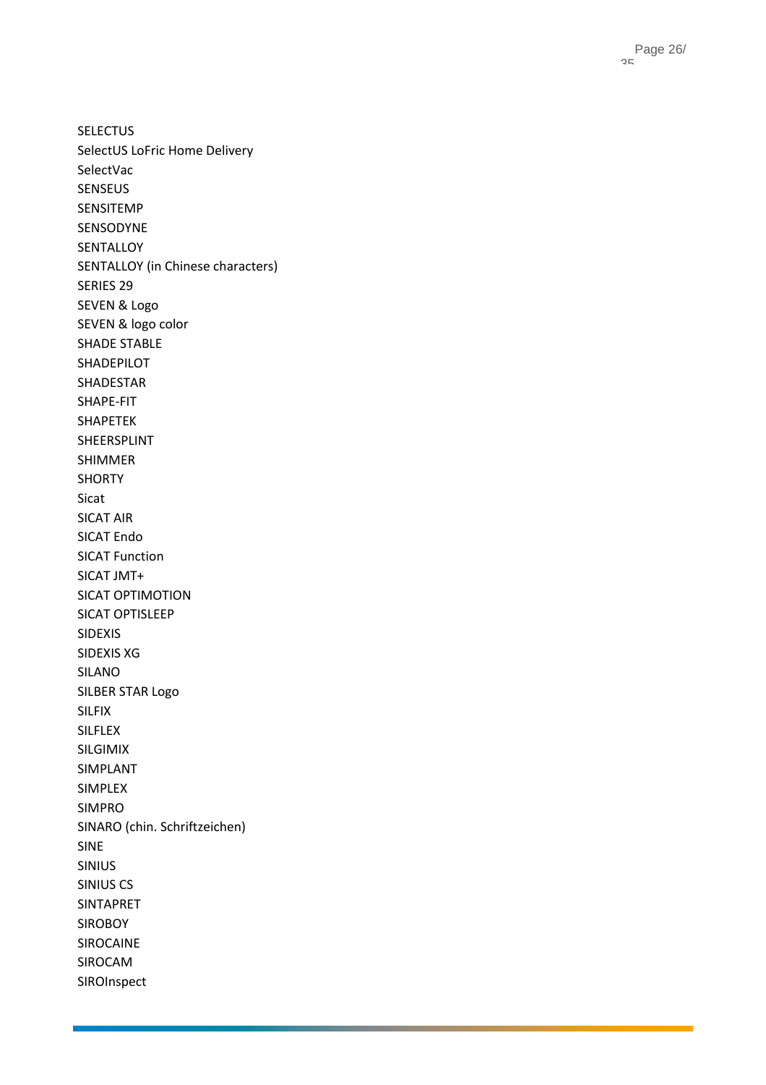SELECTUS SelectUS LoFric Home Delivery SelectVac SENSEUS SENSITEMP SENSODYNE **SENTALLOY** SENTALLOY (in Chinese characters) SERIES 29 SEVEN & Logo SEVEN & logo color SHADE STABLE SHADEPILOT SHADESTAR SHAPE -FIT SHAPETEK SHEERSPLINT SHIMMER SHORTY Sicat SICAT AIR SICAT Endo SICAT Function SICAT JMT+ SICAT OPTIMOTION SICAT OPTISLEEP SIDEXIS SIDEXIS XG SILANO SILBER STAR Logo SILFIX SILFLEX SILGIMIX SIMPLANT SIMPLEX SIMPRO SINARO (chin. Schriftzeichen) SINE SINIUS SINIUS CS SINTAPRET SIROBOY SIROCAINE SIROCAM SIROInspect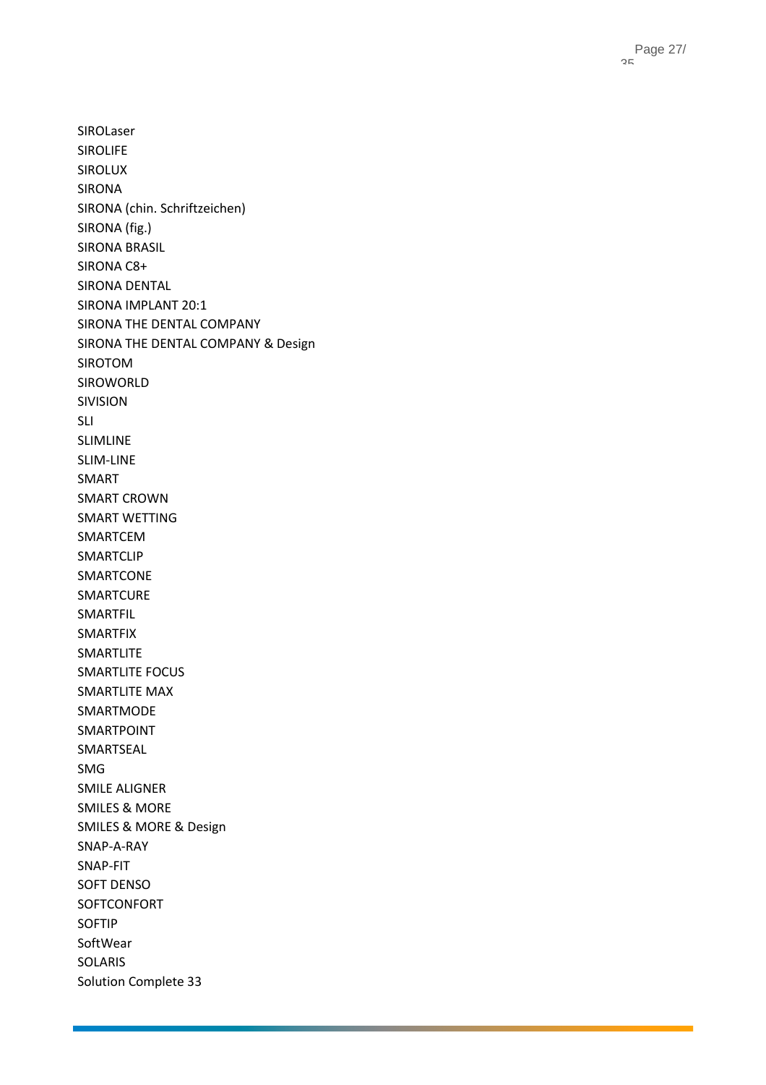SIROLaser SIROLIFE SIROLUX SIRONA SIRONA (chin. Schriftzeichen) SIRONA (fig.) SIRONA BRASIL SIRONA C8+ SIRONA DENTAL SIRONA IMPLANT 20:1 SIRONA THE DENTAL COMPANY SIRONA THE DENTAL COMPANY & Design SIROTOM SIROWORLD SIVISION SLI SLIMLINE SLIM-LINE SMART SMART CROWN SMART WETTING SMARTCEM SMARTCLIP SMARTCONE SMARTCURE SMARTFIL SMARTFIX SMARTLITE SMARTLITE FOCUS SMARTLITE MAX SMARTMODE SMARTPOINT SMARTSEAL SMG SMILE ALIGNER SMILES & MORE SMILES & MORE & Design SNAP-A-RAY SNAP-FIT SOFT DENSO SOFTCONFORT SOFTIP SoftWear SOLARIS Solution Complete 33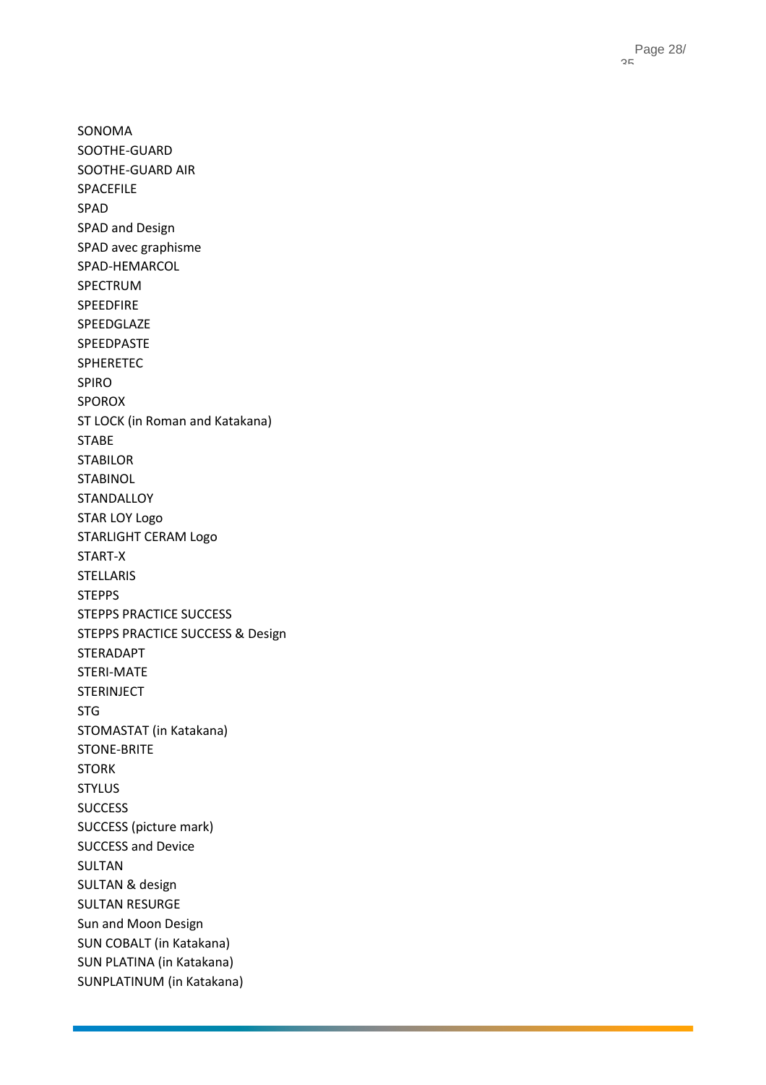SONOMA SOOTHE -GUARD SOOTHE -GUARD AIR SPACEFILE SPAD SPAD and Design SPAD avec graphisme SPAD -HEMARCOL SPECTRUM SPEEDFIRE SPEEDGLAZE SPEEDPASTE SPHERETEC SPIRO SPOROX ST LOCK (in Roman and Katakana) STABE STABILOR **STABINOL STANDALLOY** STAR LOY Logo STARLIGHT CERAM Logo START - X STELLARIS STEPPS STEPPS PRACTICE SUCCESS STEPPS PRACTICE SUCCESS & Design STERADAPT STERI -MATE STERINJECT STG STOMASTAT (in Katakana) STONE -BRITE STORK STYLUS **SUCCESS** SUCCESS (picture mark) SUCCESS and Device SULTAN SULTAN & design SULTAN RESURGE Sun and Moon Design SUN COBALT (in Katakana) SUN PLATINA (in Katakana) SUNPLATINUM (in Katakana)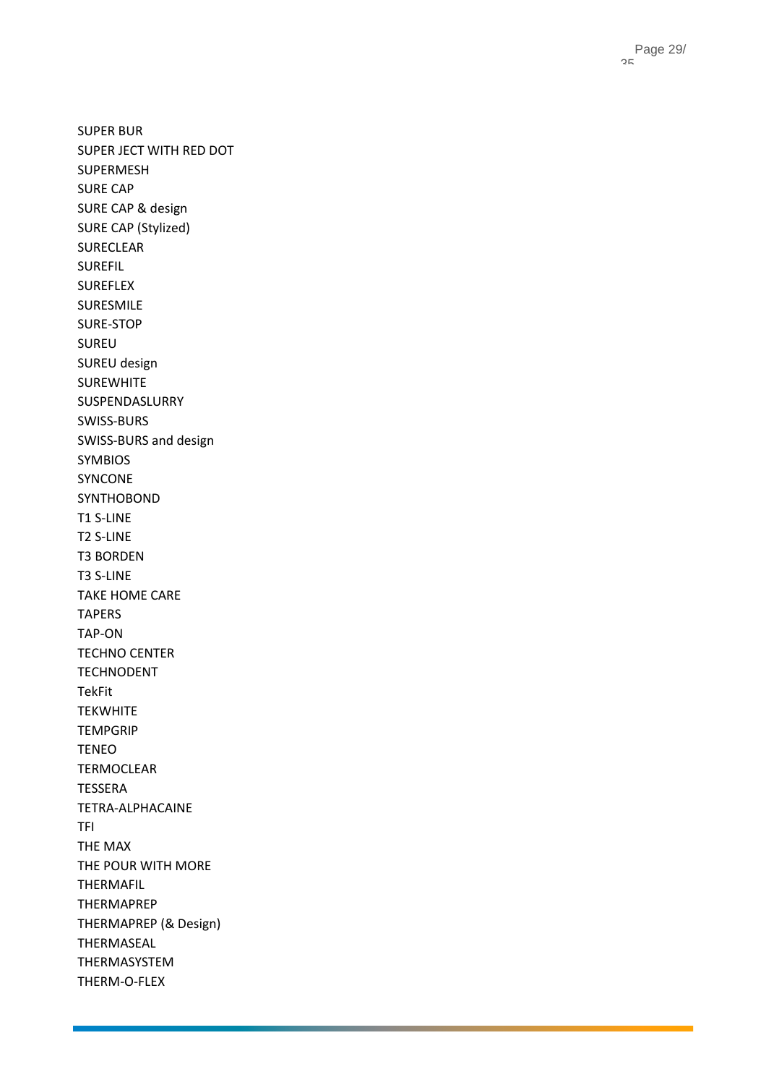SUPER BUR SUPER JECT WITH RED DOT SUPERMESH SURE CAP SURE CAP & design SURE CAP (Stylized) SURECLEAR SUREFIL SUREFLEX SURESMILE SURE -STOP SUREU SUREU design SUREWHITE SUSPENDASLURRY SWISS -BURS SWISS -BURS and design SYMBIOS SYNCONE SYNTHOBOND T1 S -LINE T2 S -LINE T3 BORDEN T3 S -LINE TAKE HOME CARE TAPERS TAP -ON TECHNO CENTER TECHNODENT TekFit **TEKWHITE TEMPGRIP** TENEO TERMOCLEAR TESSERA TETRA -ALPHACAINE TFI THE MAX THE POUR WITH MORE THERMAFIL THERMAPREP THERMAPREP (& Design) THERMASEAL THERMASYSTEM THERM - O -FLEX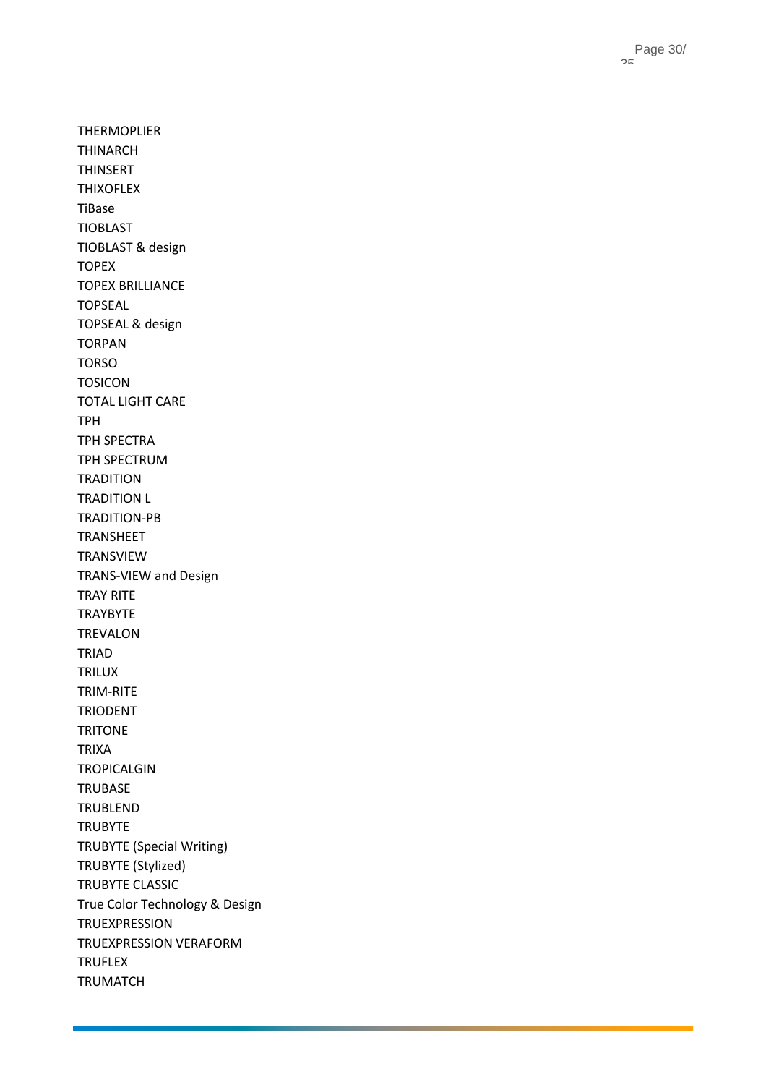THERMOPLIER THINARCH THINSERT THIXOFLEX TiBase TIOBLAST TIOBLAST & design TOPEX TOPEX BRILLIANCE TOPSEAL TOPSEAL & design TORPAN TORSO TOSICON TOTAL LIGHT CARE TPH TPH SPECTRA TPH SPECTRUM TRADITION TRADITION L TRADITION -PB TRANSHEET TRANSVIEW TRANS -VIEW and Design TRAY RITE TRAYBYTE TREVALON TRIAD TRILUX TRIM -RITE TRIODENT **TRITONE** TRIXA TROPICALGIN TRUBASE TRUBLEND **TRUBYTE** TRUBYTE (Special Writing) TRUBYTE (Stylized) TRUBYTE CLASSIC True Color Technology & Design TRUEXPRESSION TRUEXPRESSION VERAFORM TRUFLEX TRUMATCH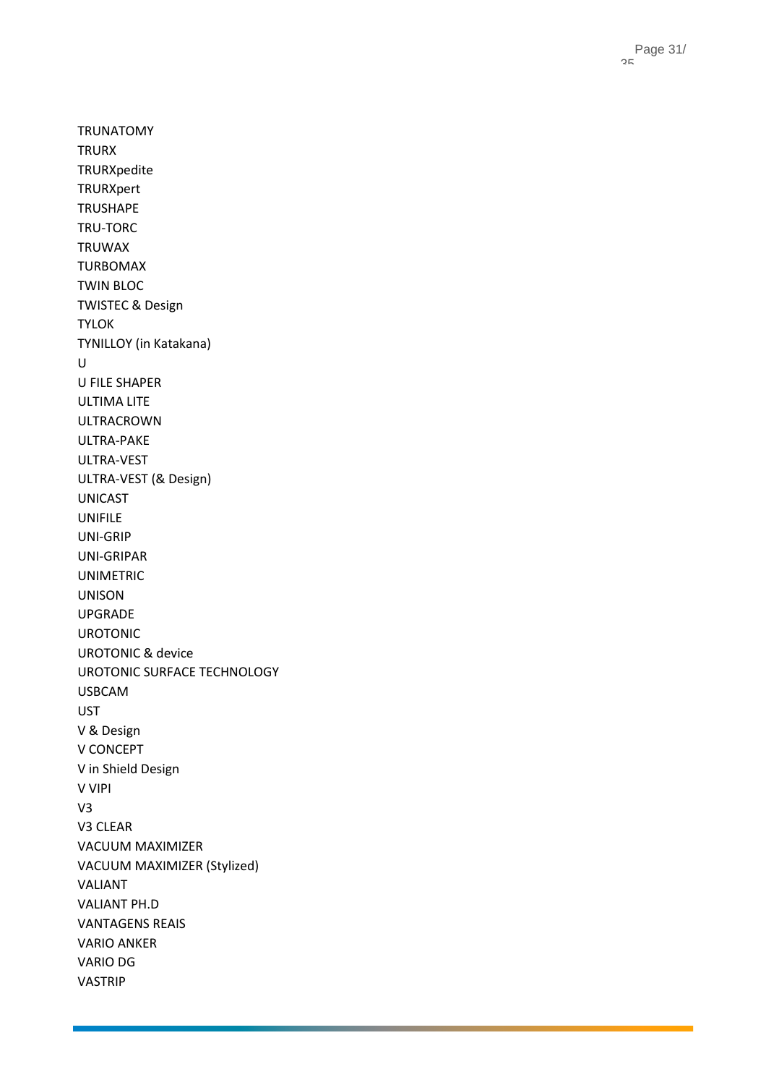Page 31 / 35

TRUNATOMY TRURX TRURXpedite TRURXpert TRUSHAPE TRU -TORC TRUWAX TURBOMAX TWIN BLOC TWISTEC & Design TYLOK TYNILLOY (in Katakana) U U FILE SHAPER ULTIMA LITE ULTRACROWN ULTRA -PAKE ULTRA -VEST ULTRA -VEST (& Design) UNICAST UNIFILE UNI -GRIP UNI -GRIPAR UNIMETRIC UNISON UPGRADE UROTONIC UROTONIC & device UROTONIC SURFACE TECHNOLOGY USBCAM UST V & Design V CONCEPT V in Shield Design V VIPI V3 V3 CLEAR VACUUM MAXIMIZER VACUUM MAXIMIZER (Stylized) VALIANT VALIANT PH.D VANTAGENS REAIS VARIO ANKER VARIO DG VASTRIP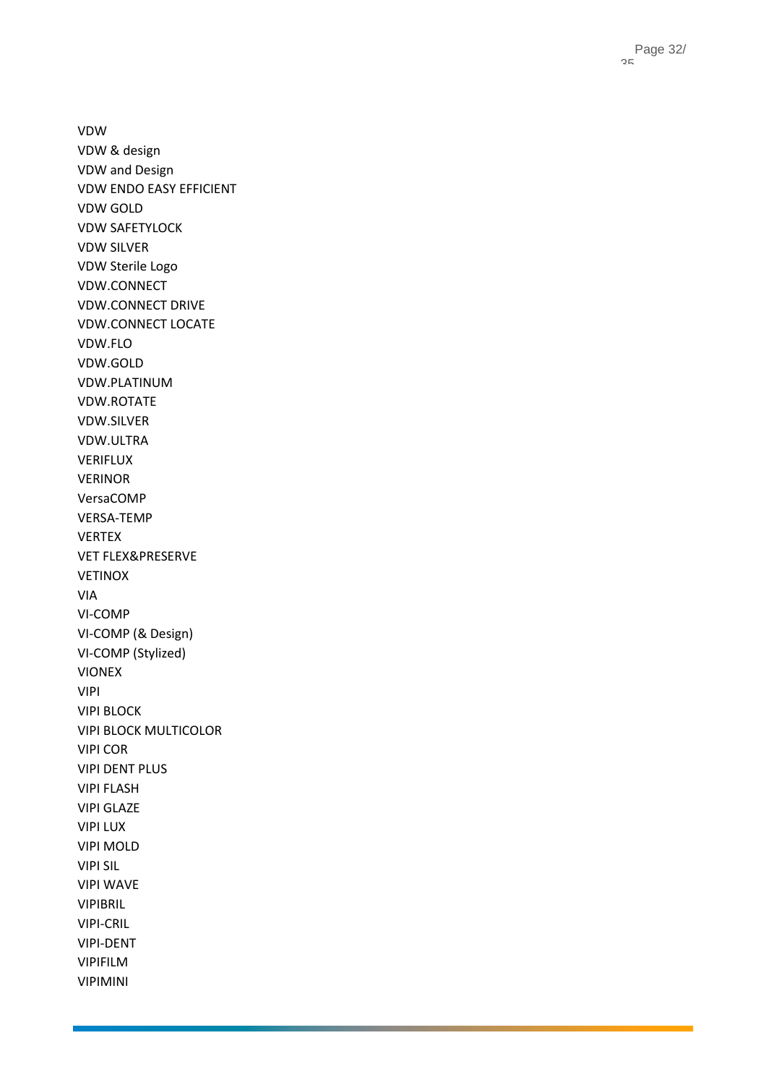Page 32 / 35

VDW VDW & design VDW and Design VDW ENDO EASY EFFICIENT VDW GOLD VDW SAFETYLOCK VDW SILVER VDW Sterile Logo VDW.CONNECT VDW.CONNECT DRIVE VDW.CONNECT LOCATE VDW.FLO VDW.GOLD VDW.PLATINUM VDW.ROTATE VDW.SILVER VDW.ULTRA VERIFLUX VERINOR VersaCOMP VERSA -TEMP VERTEX VET FLEX&PRESERVE VETINOX VIA VI -COMP VI -COMP (& Design) VI -COMP (Stylized) VIONEX VIPI VIPI BLOCK VIPI BLOCK MULTICOLOR VIPI COR VIPI DENT PLUS VIPI FLASH VIPI GLAZE VIPI LUX VIPI MOLD VIPI SIL VIPI WAVE VIPIBRIL VIPI -CRIL VIPI -DENT VIPIFILM VIPIMINI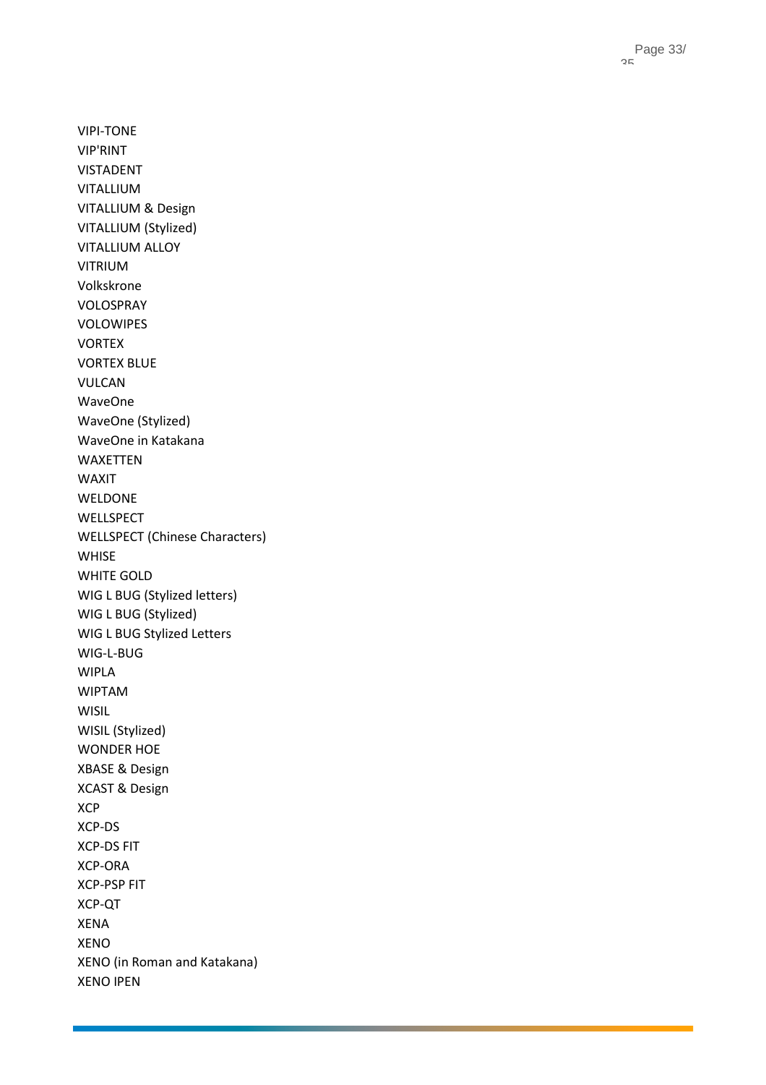VIPI -TONE VIP'RINT VISTADENT VITALLIUM VITALLIUM & Design VITALLIUM (Stylized) VITALLIUM ALLOY VITRIUM Volkskrone VOLOSPRAY VOLOWIPES VORTEX VORTEX BLUE VULCAN WaveOne WaveOne (Stylized) WaveOne in Katakana WAXETTEN WAXIT WELDONE WELLSPECT WELLSPECT (Chinese Characters) WHISE WHITE GOLD WIG L BUG (Stylized letters) WIG L BUG (Stylized) WIG L BUG Stylized Letters WIG - L -BUG WIPLA WIPTAM WISIL WISIL (Stylized) WONDER HOE XBASE & Design XCAST & Design XCP XCP -DS XCP -DS FIT XCP -ORA XCP -PSP FIT XCP -QT XENA XENO XENO (in Roman and Katakana) XENO IPEN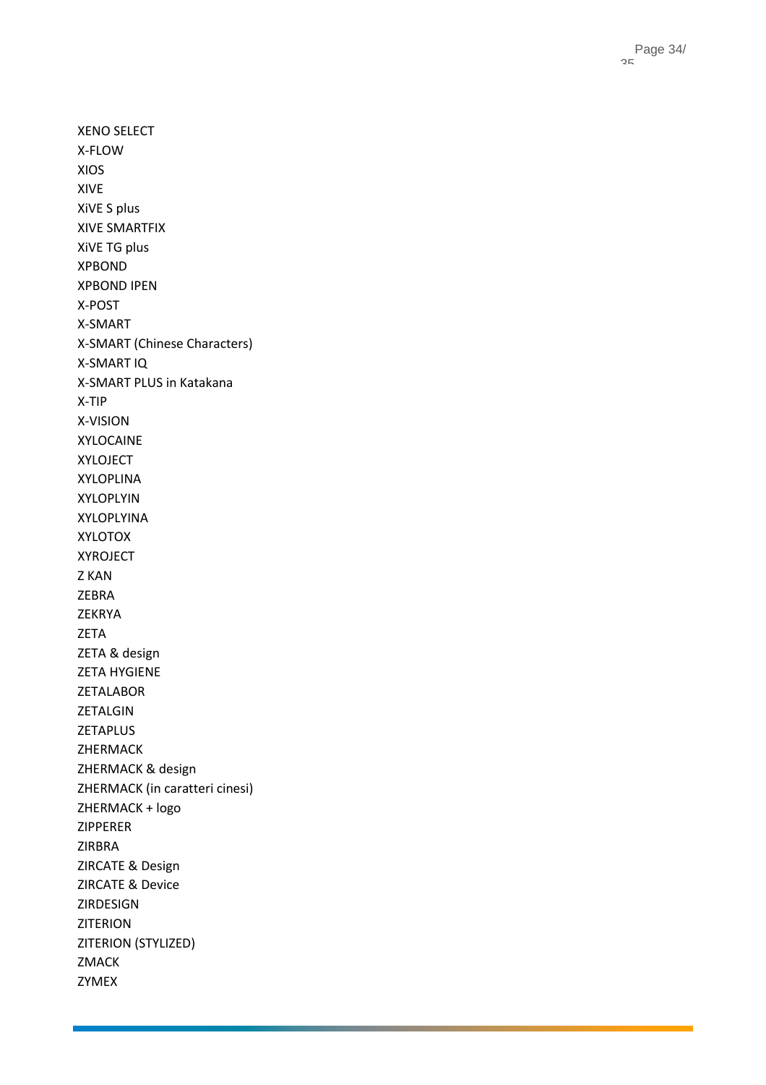XENO SELECT X-FLOW XIOS XIVE XiVE S plus XIVE SMARTFIX XiVE TG plus XPBOND XPBOND IPEN X-POST X-SMART X-SMART (Chinese Characters) X-SMART IQ X-SMART PLUS in Katakana X-TIP X-VISION XYLOCAINE XYLOJECT XYLOPLINA XYLOPLYIN XYLOPLYINA XYLOTOX XYROJECT Z KAN ZEBRA ZEKRYA ZETA ZETA & design ZETA HYGIENE ZETALABOR ZETALGIN ZETAPLUS ZHERMACK ZHERMACK & design ZHERMACK (in caratteri cinesi) ZHERMACK + logo ZIPPERER ZIRBRA ZIRCATE & Design ZIRCATE & Device ZIRDESIGN ZITERION ZITERION (STYLIZED) ZMACK ZYMEX